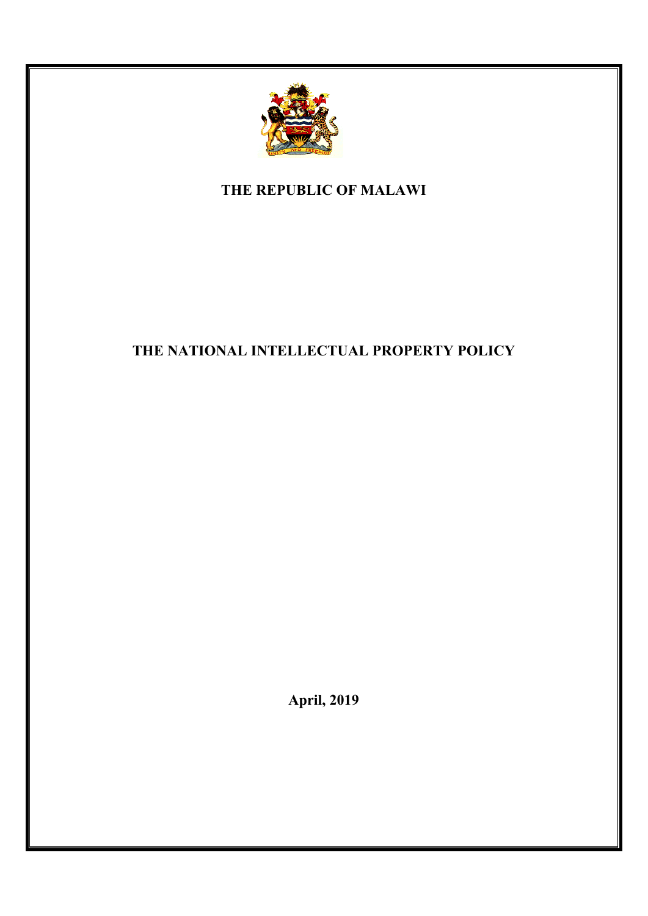

**THE REPUBLIC OF MALAWI**

# **THE NATIONAL INTELLECTUAL PROPERTY POLICY**

**April, 2019**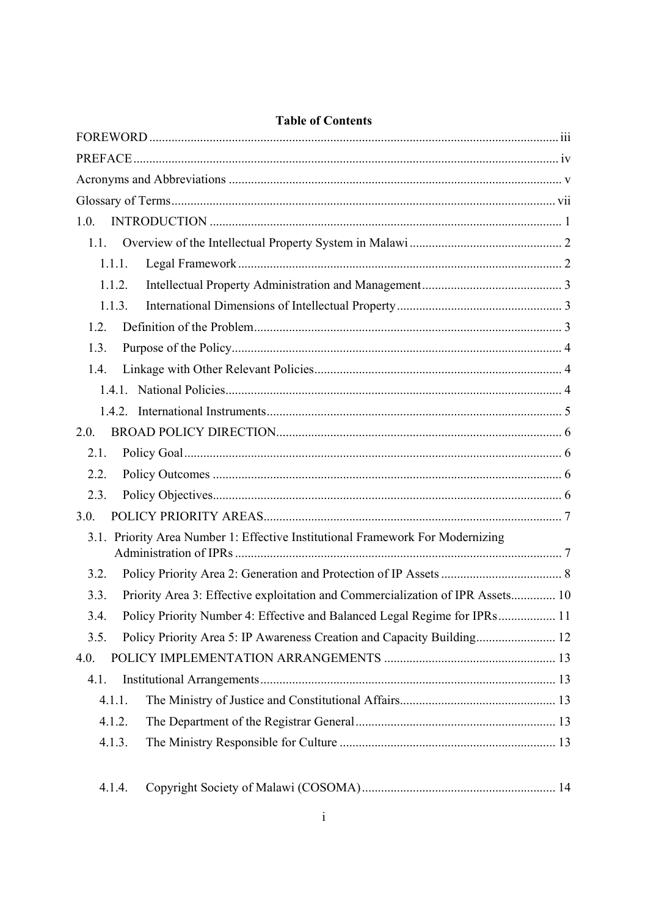| 1.0.                                                                                   |
|----------------------------------------------------------------------------------------|
| 1.1.                                                                                   |
| 1.1.1.                                                                                 |
| 1.1.2.                                                                                 |
| 1.1.3.                                                                                 |
| 1.2.                                                                                   |
| 1.3.                                                                                   |
| 1.4.                                                                                   |
|                                                                                        |
|                                                                                        |
| 2.0.                                                                                   |
| 2.1.                                                                                   |
| 2.2.                                                                                   |
| 2.3.                                                                                   |
| 3.0.                                                                                   |
| 3.1. Priority Area Number 1: Effective Institutional Framework For Modernizing         |
| 3.2.                                                                                   |
| Priority Area 3: Effective exploitation and Commercialization of IPR Assets 10<br>3.3. |
| Policy Priority Number 4: Effective and Balanced Legal Regime for IPRs 11<br>3.4.      |
| Policy Priority Area 5: IP Awareness Creation and Capacity Building 12<br>3.5.         |
| 4.0.                                                                                   |
| 4.1.                                                                                   |
| 4.1.1.                                                                                 |
| 4.1.2.                                                                                 |
| 4.1.3.                                                                                 |
|                                                                                        |

## **Table of Contents**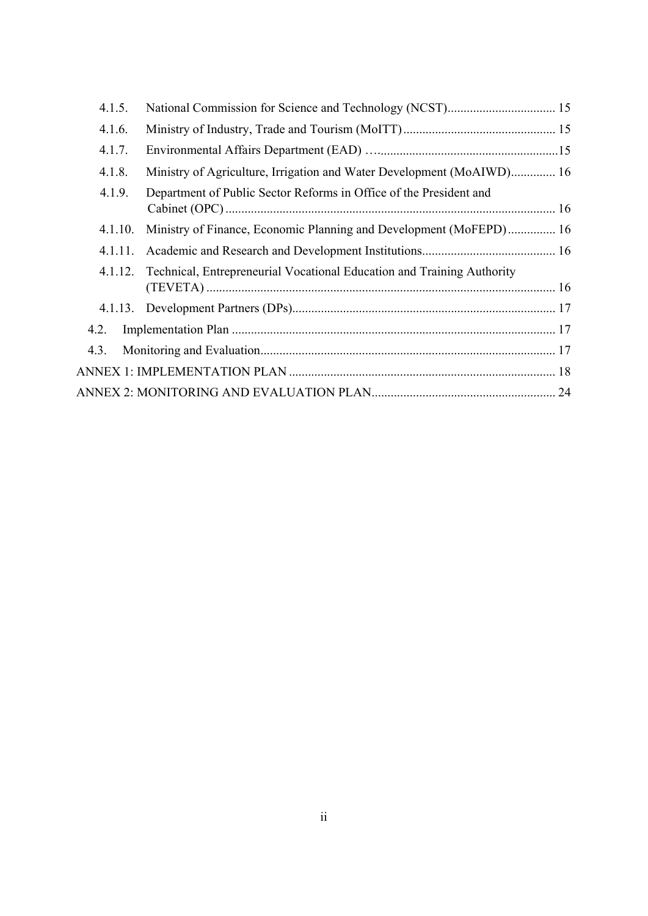| 4.1.5.  |                                                                                |  |
|---------|--------------------------------------------------------------------------------|--|
| 4.1.6.  |                                                                                |  |
| 4.1.7.  |                                                                                |  |
| 4.1.8.  | Ministry of Agriculture, Irrigation and Water Development (MoAIWD) 16          |  |
| 4.1.9.  | Department of Public Sector Reforms in Office of the President and             |  |
| 4.1.10. | Ministry of Finance, Economic Planning and Development (MoFEPD) 16             |  |
| 4.1.11. |                                                                                |  |
|         | 4.1.12. Technical, Entrepreneurial Vocational Education and Training Authority |  |
|         |                                                                                |  |
| 4.2.    |                                                                                |  |
| 4.3.    |                                                                                |  |
|         |                                                                                |  |
|         |                                                                                |  |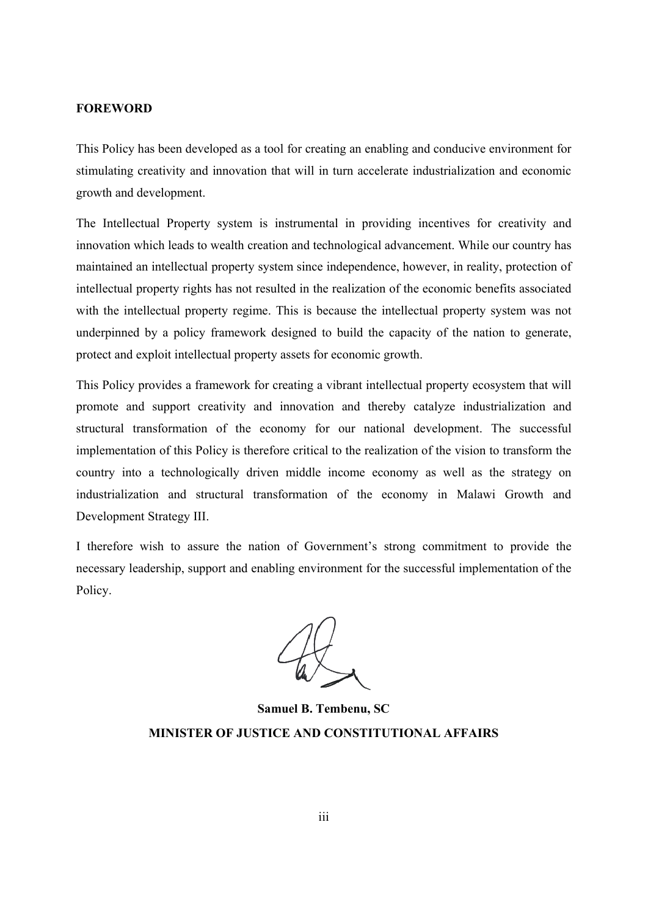#### **FOREWORD**

This Policy has been developed as a tool for creating an enabling and conducive environment for stimulating creativity and innovation that will in turn accelerate industrialization and economic growth and development.

The Intellectual Property system is instrumental in providing incentives for creativity and innovation which leads to wealth creation and technological advancement. While our country has maintained an intellectual property system since independence, however, in reality, protection of intellectual property rights has not resulted in the realization of the economic benefits associated with the intellectual property regime. This is because the intellectual property system was not underpinned by a policy framework designed to build the capacity of the nation to generate, protect and exploit intellectual property assets for economic growth.

This Policy provides a framework for creating a vibrant intellectual property ecosystem that will promote and support creativity and innovation and thereby catalyze industrialization and structural transformation of the economy for our national development. The successful implementation of this Policy is therefore critical to the realization of the vision to transform the country into a technologically driven middle income economy as well as the strategy on industrialization and structural transformation of the economy in Malawi Growth and Development Strategy III.

I therefore wish to assure the nation of Government's strong commitment to provide the necessary leadership, support and enabling environment for the successful implementation of the Policy.

**Samuel B. Tembenu, SC MINISTER OF JUSTICE AND CONSTITUTIONAL AFFAIRS**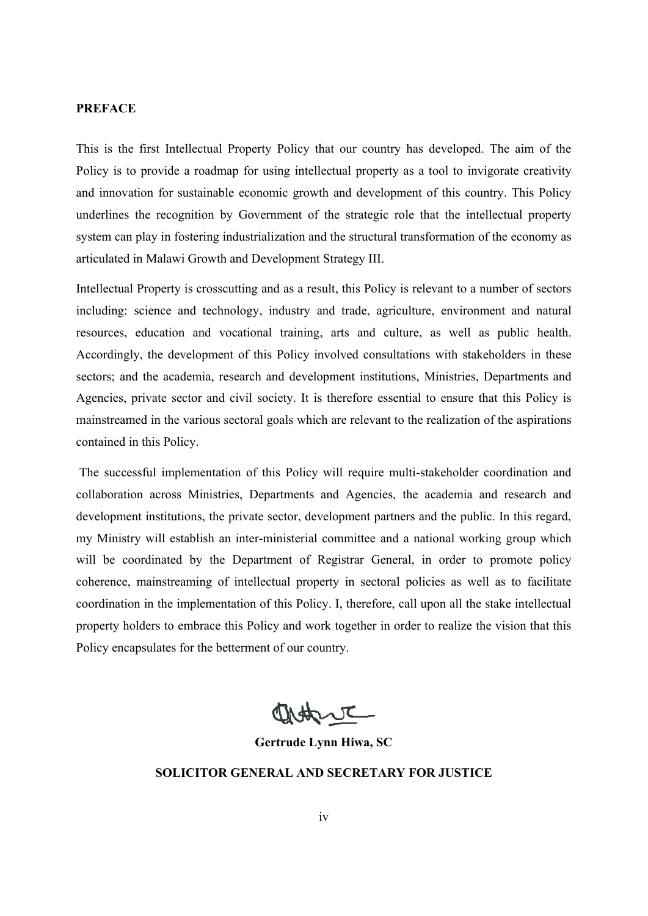## **PREFACE**

This is the first Intellectual Property Policy that our country has developed. The aim of the Policy is to provide a roadmap for using intellectual property as a tool to invigorate creativity and innovation for sustainable economic growth and development of this country. This Policy underlines the recognition by Government of the strategic role that the intellectual property system can play in fostering industrialization and the structural transformation of the economy as articulated in Malawi Growth and Development Strategy III.

Intellectual Property is crosscutting and as a result, this Policy is relevant to a number of sectors including: science and technology, industry and trade, agriculture, environment and natural resources, education and vocational training, arts and culture, as well as public health. Accordingly, the development of this Policy involved consultations with stakeholders in these sectors; and the academia, research and development institutions, Ministries, Departments and Agencies, private sector and civil society. It is therefore essential to ensure that this Policy is mainstreamed in the various sectoral goals which are relevant to the realization of the aspirations contained in this Policy.

 The successful implementation of this Policy will require multi-stakeholder coordination and collaboration across Ministries, Departments and Agencies, the academia and research and development institutions, the private sector, development partners and the public. In this regard, my Ministry will establish an inter-ministerial committee and a national working group which will be coordinated by the Department of Registrar General, in order to promote policy coherence, mainstreaming of intellectual property in sectoral policies as well as to facilitate coordination in the implementation of this Policy. I, therefore, call upon all the stake intellectual property holders to embrace this Policy and work together in order to realize the vision that this Policy encapsulates for the betterment of our country.

Detty

**Gertrude Lynn Hiwa, SC**

**SOLICITOR GENERAL AND SECRETARY FOR JUSTICE**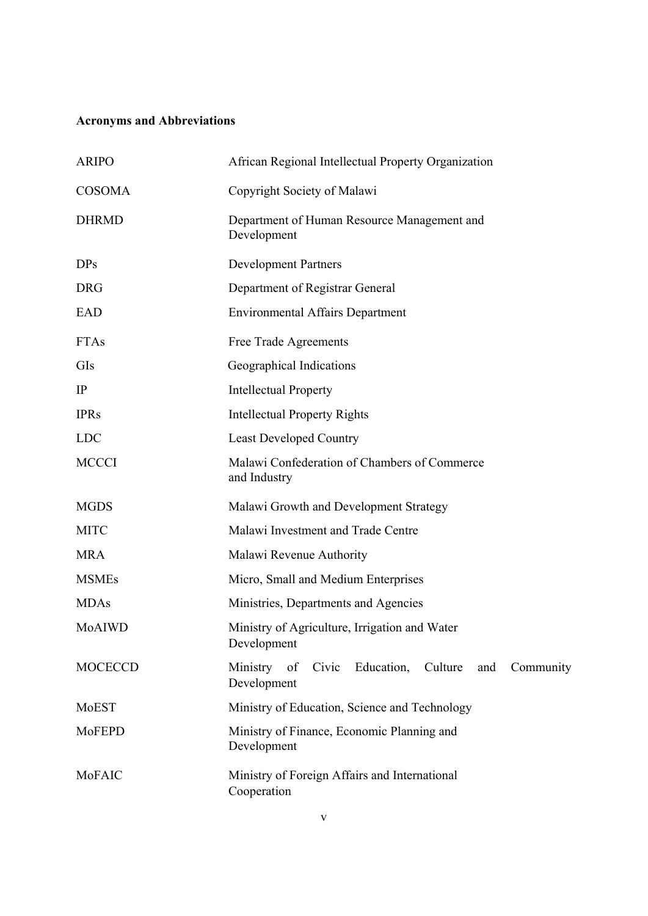# **Acronyms and Abbreviations**

| <b>ARIPO</b>   | African Regional Intellectual Property Organization                              |  |  |  |
|----------------|----------------------------------------------------------------------------------|--|--|--|
| <b>COSOMA</b>  | Copyright Society of Malawi                                                      |  |  |  |
| <b>DHRMD</b>   | Department of Human Resource Management and<br>Development                       |  |  |  |
| DPs            | <b>Development Partners</b>                                                      |  |  |  |
| <b>DRG</b>     | Department of Registrar General                                                  |  |  |  |
| EAD            | <b>Environmental Affairs Department</b>                                          |  |  |  |
| <b>FTAs</b>    | Free Trade Agreements                                                            |  |  |  |
| GIs            | Geographical Indications                                                         |  |  |  |
| IP             | <b>Intellectual Property</b>                                                     |  |  |  |
| <b>IPRs</b>    | <b>Intellectual Property Rights</b>                                              |  |  |  |
| <b>LDC</b>     | <b>Least Developed Country</b>                                                   |  |  |  |
| <b>MCCCI</b>   | Malawi Confederation of Chambers of Commerce<br>and Industry                     |  |  |  |
| <b>MGDS</b>    | Malawi Growth and Development Strategy                                           |  |  |  |
| <b>MITC</b>    | Malawi Investment and Trade Centre                                               |  |  |  |
| <b>MRA</b>     | Malawi Revenue Authority                                                         |  |  |  |
| <b>MSMEs</b>   | Micro, Small and Medium Enterprises                                              |  |  |  |
| <b>MDAs</b>    | Ministries, Departments and Agencies                                             |  |  |  |
| MoAIWD         | Ministry of Agriculture, Irrigation and Water<br>Development                     |  |  |  |
| <b>MOCECCD</b> | Ministry of<br>Education,<br>Culture<br>Civic<br>and<br>Community<br>Development |  |  |  |
| MoEST          | Ministry of Education, Science and Technology                                    |  |  |  |
| MoFEPD         | Ministry of Finance, Economic Planning and<br>Development                        |  |  |  |
| MoFAIC         | Ministry of Foreign Affairs and International<br>Cooperation                     |  |  |  |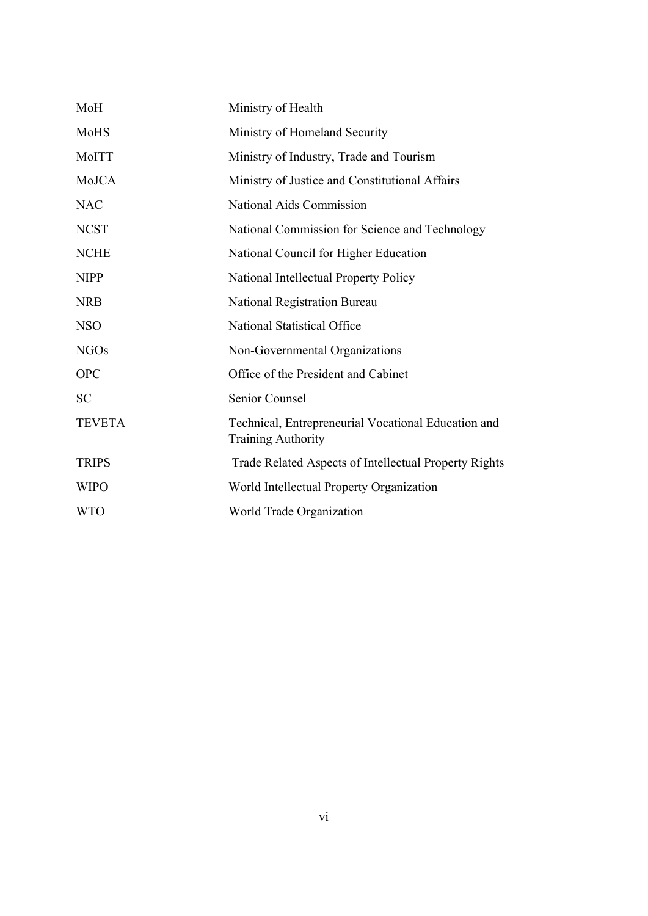| MoH           | Ministry of Health                                                        |
|---------------|---------------------------------------------------------------------------|
| MoHS          | Ministry of Homeland Security                                             |
| MoITT         | Ministry of Industry, Trade and Tourism                                   |
| MoJCA         | Ministry of Justice and Constitutional Affairs                            |
| <b>NAC</b>    | National Aids Commission                                                  |
| <b>NCST</b>   | National Commission for Science and Technology                            |
| <b>NCHE</b>   | National Council for Higher Education                                     |
| <b>NIPP</b>   | National Intellectual Property Policy                                     |
| <b>NRB</b>    | National Registration Bureau                                              |
| <b>NSO</b>    | National Statistical Office                                               |
| <b>NGOs</b>   | Non-Governmental Organizations                                            |
| <b>OPC</b>    | Office of the President and Cabinet                                       |
| <b>SC</b>     | Senior Counsel                                                            |
| <b>TEVETA</b> | Technical, Entrepreneurial Vocational Education and<br>Training Authority |
| <b>TRIPS</b>  | Trade Related Aspects of Intellectual Property Rights                     |
| <b>WIPO</b>   | World Intellectual Property Organization                                  |
| <b>WTO</b>    | World Trade Organization                                                  |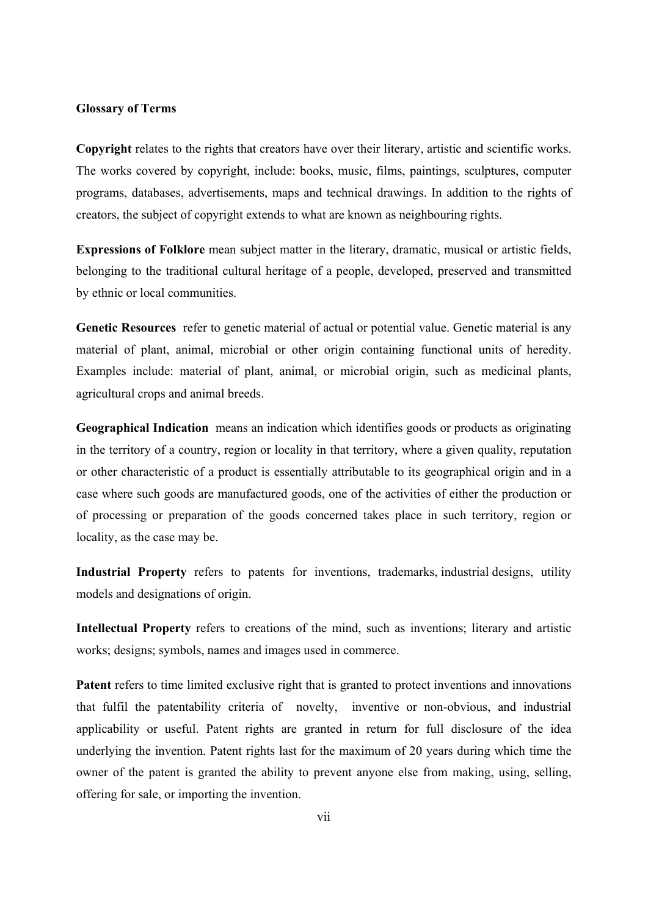### **Glossary of Terms**

**Copyright** relates to the rights that creators have over their literary, artistic and scientific works. The works covered by copyright, include: books, music, films, paintings, sculptures, computer programs, databases, advertisements, maps and technical drawings. In addition to the rights of creators, the subject of copyright extends to what are known as neighbouring rights.

**Expressions of Folklore** mean subject matter in the literary, dramatic, musical or artistic fields, belonging to the traditional cultural heritage of a people, developed, preserved and transmitted by ethnic or local communities.

**Genetic Resources** refer to genetic material of actual or potential value. Genetic material is any material of plant, animal, microbial or other origin containing functional units of heredity. Examples include: material of plant, animal, or microbial origin, such as medicinal plants, agricultural crops and animal breeds.

**Geographical Indication** means an indication which identifies goods or products as originating in the territory of a country, region or locality in that territory, where a given quality, reputation or other characteristic of a product is essentially attributable to its geographical origin and in a case where such goods are manufactured goods, one of the activities of either the production or of processing or preparation of the goods concerned takes place in such territory, region or locality, as the case may be.

**Industrial Property** refers to patents for inventions, trademarks, industrial designs, utility models and designations of origin.

**Intellectual Property** refers to creations of the mind, such as inventions; literary and artistic works; designs; symbols, names and images used in commerce.

**Patent** refers to time limited exclusive right that is granted to protect inventions and innovations that fulfil the patentability criteria of novelty, inventive or non-obvious, and industrial applicability or useful. Patent rights are granted in return for full disclosure of the idea underlying the invention. Patent rights last for the maximum of 20 years during which time the owner of the patent is granted the ability to prevent anyone else from making, using, selling, offering for sale, or importing the invention.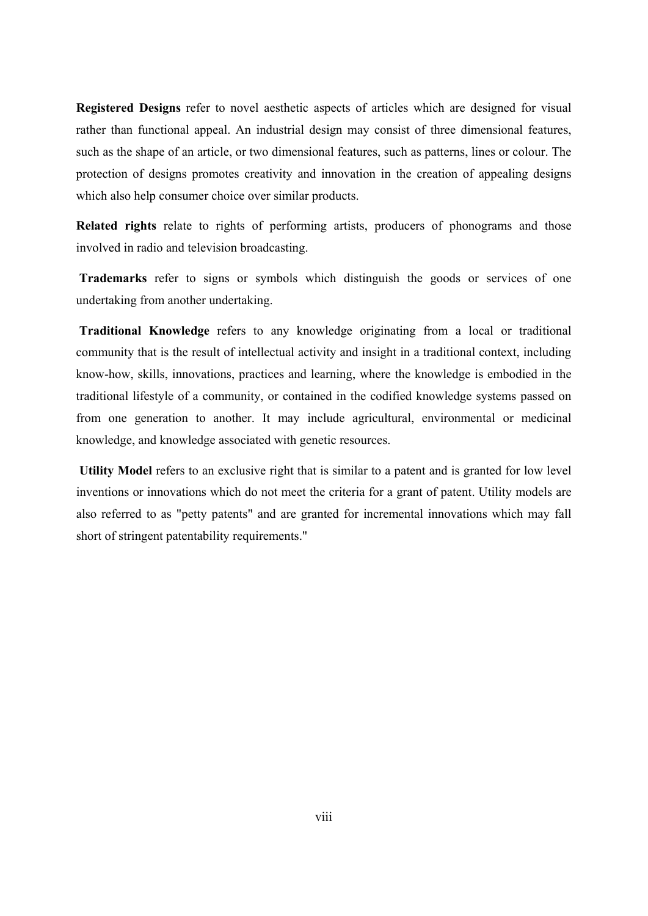**Registered Designs** refer to novel aesthetic aspects of articles which are designed for visual rather than functional appeal. An industrial design may consist of three dimensional features, such as the shape of an article, or two dimensional features, such as patterns, lines or colour. The protection of designs promotes creativity and innovation in the creation of appealing designs which also help consumer choice over similar products.

**Related rights** relate to rights of performing artists, producers of phonograms and those involved in radio and television broadcasting.

 **Trademarks** refer to signs or symbols which distinguish the goods or services of one undertaking from another undertaking.

 **Traditional Knowledge** refers to any knowledge originating from a local or traditional community that is the result of intellectual activity and insight in a traditional context, including know-how, skills, innovations, practices and learning, where the knowledge is embodied in the traditional lifestyle of a community, or contained in the codified knowledge systems passed on from one generation to another. It may include agricultural, environmental or medicinal knowledge, and knowledge associated with genetic resources.

 **Utility Model** refers to an exclusive right that is similar to a patent and is granted for low level inventions or innovations which do not meet the criteria for a grant of patent. Utility models are also referred to as "petty patents" and are granted for incremental innovations which may fall short of stringent patentability requirements."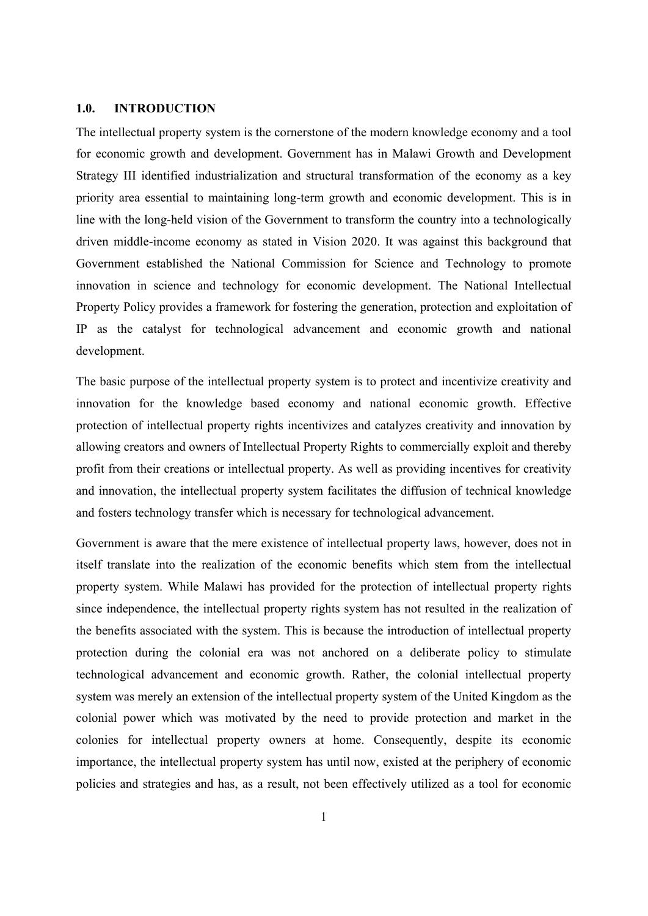#### **1.0. INTRODUCTION**

The intellectual property system is the cornerstone of the modern knowledge economy and a tool for economic growth and development. Government has in Malawi Growth and Development Strategy III identified industrialization and structural transformation of the economy as a key priority area essential to maintaining long-term growth and economic development. This is in line with the long-held vision of the Government to transform the country into a technologically driven middle-income economy as stated in Vision 2020. It was against this background that Government established the National Commission for Science and Technology to promote innovation in science and technology for economic development. The National Intellectual Property Policy provides a framework for fostering the generation, protection and exploitation of IP as the catalyst for technological advancement and economic growth and national development.

The basic purpose of the intellectual property system is to protect and incentivize creativity and innovation for the knowledge based economy and national economic growth. Effective protection of intellectual property rights incentivizes and catalyzes creativity and innovation by allowing creators and owners of Intellectual Property Rights to commercially exploit and thereby profit from their creations or intellectual property. As well as providing incentives for creativity and innovation, the intellectual property system facilitates the diffusion of technical knowledge and fosters technology transfer which is necessary for technological advancement.

Government is aware that the mere existence of intellectual property laws, however, does not in itself translate into the realization of the economic benefits which stem from the intellectual property system. While Malawi has provided for the protection of intellectual property rights since independence, the intellectual property rights system has not resulted in the realization of the benefits associated with the system. This is because the introduction of intellectual property protection during the colonial era was not anchored on a deliberate policy to stimulate technological advancement and economic growth. Rather, the colonial intellectual property system was merely an extension of the intellectual property system of the United Kingdom as the colonial power which was motivated by the need to provide protection and market in the colonies for intellectual property owners at home. Consequently, despite its economic importance, the intellectual property system has until now, existed at the periphery of economic policies and strategies and has, as a result, not been effectively utilized as a tool for economic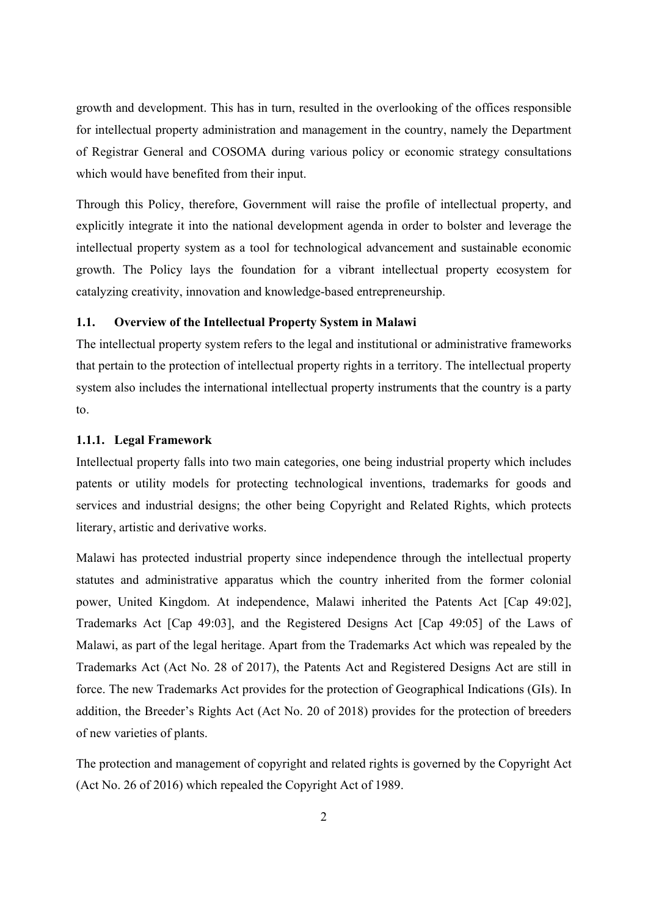growth and development. This has in turn, resulted in the overlooking of the offices responsible for intellectual property administration and management in the country, namely the Department of Registrar General and COSOMA during various policy or economic strategy consultations which would have benefited from their input.

Through this Policy, therefore, Government will raise the profile of intellectual property, and explicitly integrate it into the national development agenda in order to bolster and leverage the intellectual property system as a tool for technological advancement and sustainable economic growth. The Policy lays the foundation for a vibrant intellectual property ecosystem for catalyzing creativity, innovation and knowledge-based entrepreneurship.

## **1.1. Overview of the Intellectual Property System in Malawi**

The intellectual property system refers to the legal and institutional or administrative frameworks that pertain to the protection of intellectual property rights in a territory. The intellectual property system also includes the international intellectual property instruments that the country is a party to.

## **1.1.1. Legal Framework**

Intellectual property falls into two main categories, one being industrial property which includes patents or utility models for protecting technological inventions, trademarks for goods and services and industrial designs; the other being Copyright and Related Rights, which protects literary, artistic and derivative works.

Malawi has protected industrial property since independence through the intellectual property statutes and administrative apparatus which the country inherited from the former colonial power, United Kingdom. At independence, Malawi inherited the Patents Act [Cap 49:02], Trademarks Act [Cap 49:03], and the Registered Designs Act [Cap 49:05] of the Laws of Malawi, as part of the legal heritage. Apart from the Trademarks Act which was repealed by the Trademarks Act (Act No. 28 of 2017), the Patents Act and Registered Designs Act are still in force. The new Trademarks Act provides for the protection of Geographical Indications (GIs). In addition, the Breeder's Rights Act (Act No. 20 of 2018) provides for the protection of breeders of new varieties of plants.

The protection and management of copyright and related rights is governed by the Copyright Act (Act No. 26 of 2016) which repealed the Copyright Act of 1989.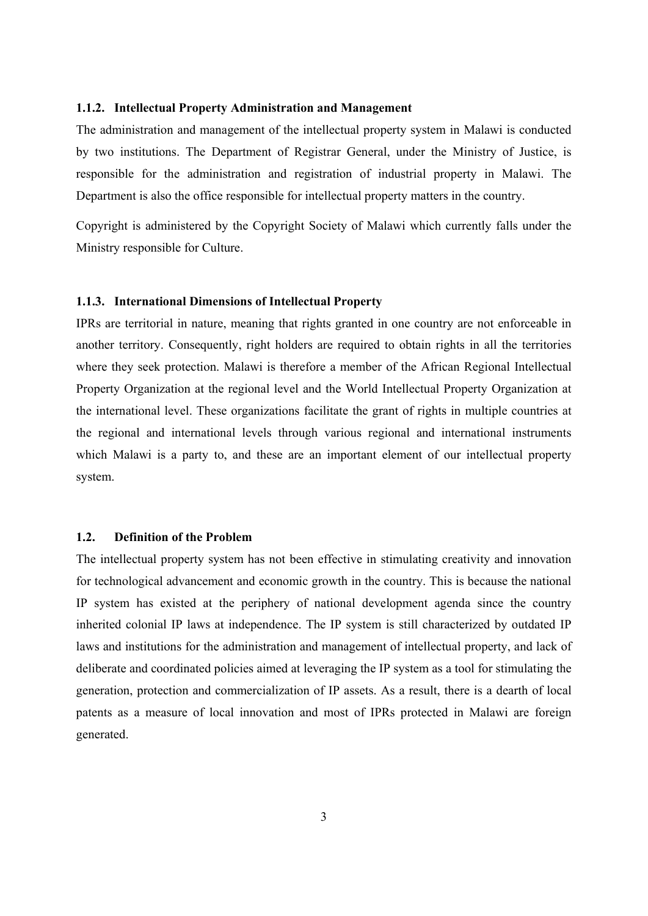## **1.1.2. Intellectual Property Administration and Management**

The administration and management of the intellectual property system in Malawi is conducted by two institutions. The Department of Registrar General, under the Ministry of Justice, is responsible for the administration and registration of industrial property in Malawi. The Department is also the office responsible for intellectual property matters in the country.

Copyright is administered by the Copyright Society of Malawi which currently falls under the Ministry responsible for Culture.

## **1.1.3. International Dimensions of Intellectual Property**

IPRs are territorial in nature, meaning that rights granted in one country are not enforceable in another territory. Consequently, right holders are required to obtain rights in all the territories where they seek protection. Malawi is therefore a member of the African Regional Intellectual Property Organization at the regional level and the World Intellectual Property Organization at the international level. These organizations facilitate the grant of rights in multiple countries at the regional and international levels through various regional and international instruments which Malawi is a party to, and these are an important element of our intellectual property system.

## **1.2. Definition of the Problem**

The intellectual property system has not been effective in stimulating creativity and innovation for technological advancement and economic growth in the country. This is because the national IP system has existed at the periphery of national development agenda since the country inherited colonial IP laws at independence. The IP system is still characterized by outdated IP laws and institutions for the administration and management of intellectual property, and lack of deliberate and coordinated policies aimed at leveraging the IP system as a tool for stimulating the generation, protection and commercialization of IP assets. As a result, there is a dearth of local patents as a measure of local innovation and most of IPRs protected in Malawi are foreign generated.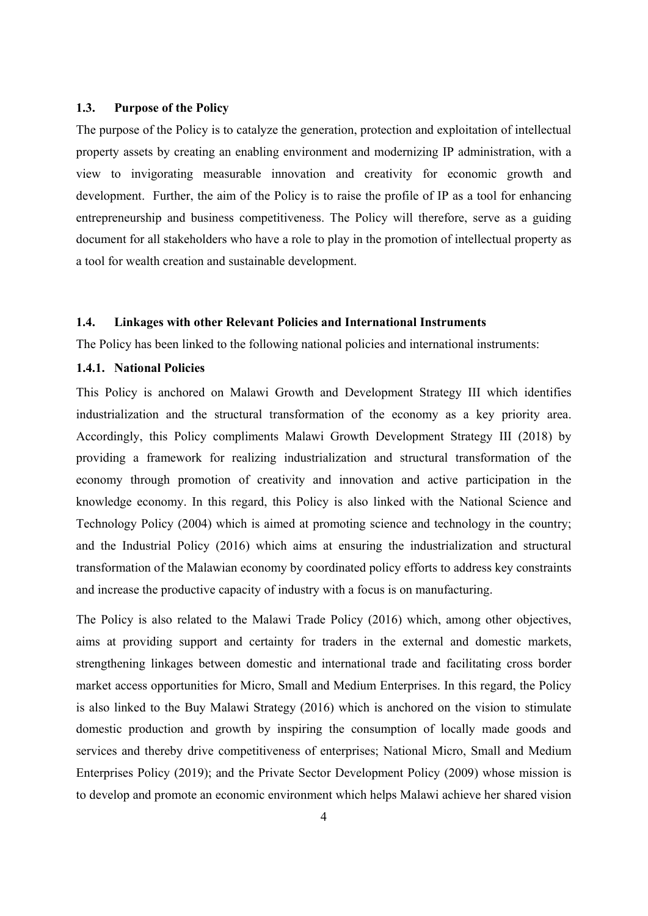## **1.3. Purpose of the Policy**

The purpose of the Policy is to catalyze the generation, protection and exploitation of intellectual property assets by creating an enabling environment and modernizing IP administration, with a view to invigorating measurable innovation and creativity for economic growth and development. Further, the aim of the Policy is to raise the profile of IP as a tool for enhancing entrepreneurship and business competitiveness. The Policy will therefore, serve as a guiding document for all stakeholders who have a role to play in the promotion of intellectual property as a tool for wealth creation and sustainable development.

## **1.4. Linkages with other Relevant Policies and International Instruments**

The Policy has been linked to the following national policies and international instruments:

## **1.4.1. National Policies**

This Policy is anchored on Malawi Growth and Development Strategy III which identifies industrialization and the structural transformation of the economy as a key priority area. Accordingly, this Policy compliments Malawi Growth Development Strategy III (2018) by providing a framework for realizing industrialization and structural transformation of the economy through promotion of creativity and innovation and active participation in the knowledge economy. In this regard, this Policy is also linked with the National Science and Technology Policy (2004) which is aimed at promoting science and technology in the country; and the Industrial Policy (2016) which aims at ensuring the industrialization and structural transformation of the Malawian economy by coordinated policy efforts to address key constraints and increase the productive capacity of industry with a focus is on manufacturing.

The Policy is also related to the Malawi Trade Policy (2016) which, among other objectives, aims at providing support and certainty for traders in the external and domestic markets, strengthening linkages between domestic and international trade and facilitating cross border market access opportunities for Micro, Small and Medium Enterprises. In this regard, the Policy is also linked to the Buy Malawi Strategy (2016) which is anchored on the vision to stimulate domestic production and growth by inspiring the consumption of locally made goods and services and thereby drive competitiveness of enterprises; National Micro, Small and Medium Enterprises Policy (2019); and the Private Sector Development Policy (2009) whose mission is to develop and promote an economic environment which helps Malawi achieve her shared vision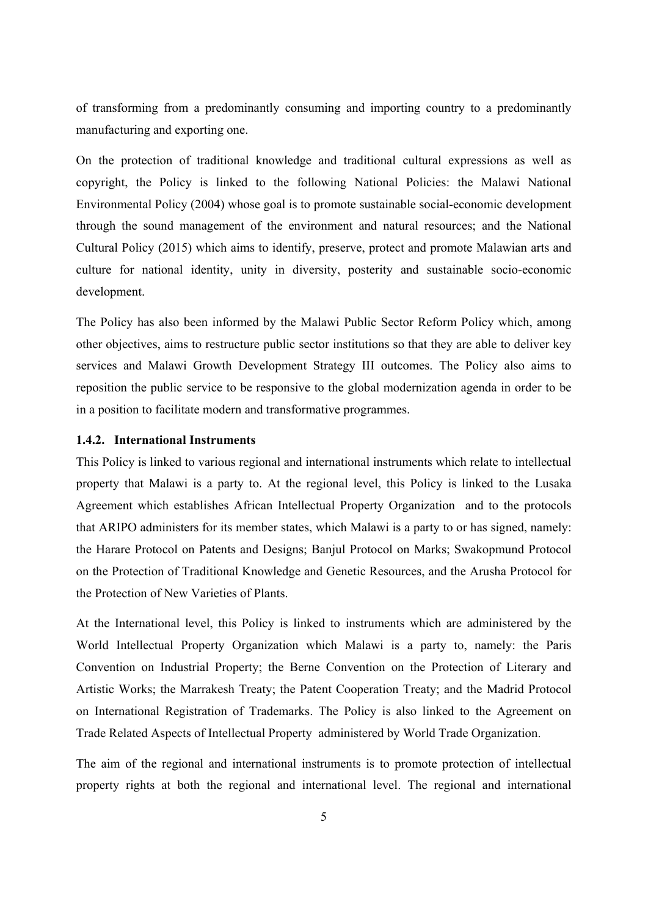of transforming from a predominantly consuming and importing country to a predominantly manufacturing and exporting one.

On the protection of traditional knowledge and traditional cultural expressions as well as copyright, the Policy is linked to the following National Policies: the Malawi National Environmental Policy (2004) whose goal is to promote sustainable social-economic development through the sound management of the environment and natural resources; and the National Cultural Policy (2015) which aims to identify, preserve, protect and promote Malawian arts and culture for national identity, unity in diversity, posterity and sustainable socio-economic development.

The Policy has also been informed by the Malawi Public Sector Reform Policy which, among other objectives, aims to restructure public sector institutions so that they are able to deliver key services and Malawi Growth Development Strategy III outcomes. The Policy also aims to reposition the public service to be responsive to the global modernization agenda in order to be in a position to facilitate modern and transformative programmes.

## **1.4.2. International Instruments**

This Policy is linked to various regional and international instruments which relate to intellectual property that Malawi is a party to. At the regional level, this Policy is linked to the Lusaka Agreement which establishes African Intellectual Property Organization and to the protocols that ARIPO administers for its member states, which Malawi is a party to or has signed, namely: the Harare Protocol on Patents and Designs; Banjul Protocol on Marks; Swakopmund Protocol on the Protection of Traditional Knowledge and Genetic Resources, and the Arusha Protocol for the Protection of New Varieties of Plants.

At the International level, this Policy is linked to instruments which are administered by the World Intellectual Property Organization which Malawi is a party to, namely: the Paris Convention on Industrial Property; the Berne Convention on the Protection of Literary and Artistic Works; the Marrakesh Treaty; the Patent Cooperation Treaty; and the Madrid Protocol on International Registration of Trademarks. The Policy is also linked to the Agreement on Trade Related Aspects of Intellectual Property administered by World Trade Organization.

The aim of the regional and international instruments is to promote protection of intellectual property rights at both the regional and international level. The regional and international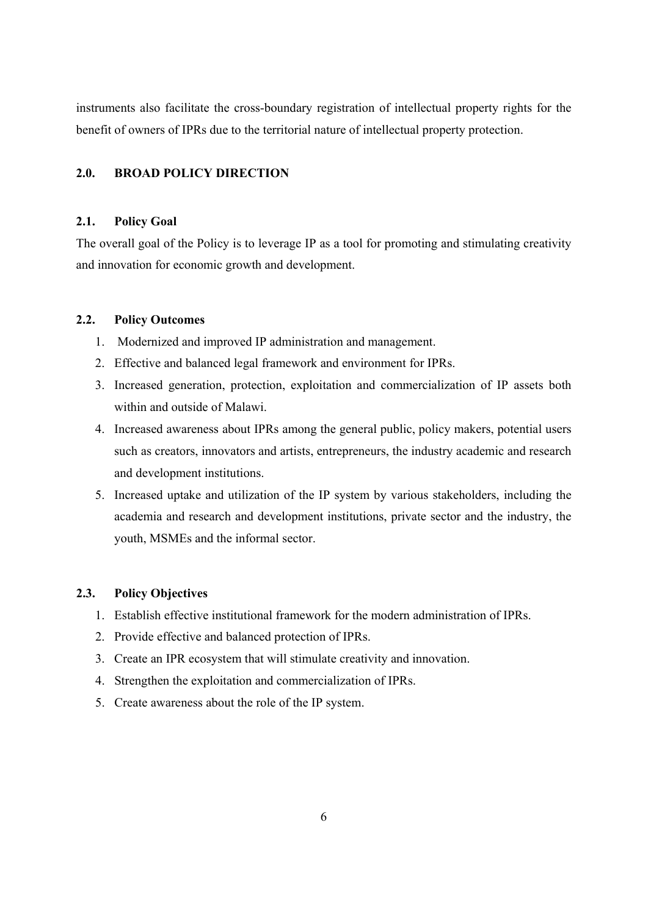instruments also facilitate the cross-boundary registration of intellectual property rights for the benefit of owners of IPRs due to the territorial nature of intellectual property protection.

## **2.0. BROAD POLICY DIRECTION**

## **2.1. Policy Goal**

The overall goal of the Policy is to leverage IP as a tool for promoting and stimulating creativity and innovation for economic growth and development.

## **2.2. Policy Outcomes**

- 1. Modernized and improved IP administration and management.
- 2. Effective and balanced legal framework and environment for IPRs.
- 3. Increased generation, protection, exploitation and commercialization of IP assets both within and outside of Malawi.
- 4. Increased awareness about IPRs among the general public, policy makers, potential users such as creators, innovators and artists, entrepreneurs, the industry academic and research and development institutions.
- 5. Increased uptake and utilization of the IP system by various stakeholders, including the academia and research and development institutions, private sector and the industry, the youth, MSMEs and the informal sector.

## **2.3. Policy Objectives**

- 1. Establish effective institutional framework for the modern administration of IPRs.
- 2. Provide effective and balanced protection of IPRs.
- 3. Create an IPR ecosystem that will stimulate creativity and innovation.
- 4. Strengthen the exploitation and commercialization of IPRs.
- 5. Create awareness about the role of the IP system.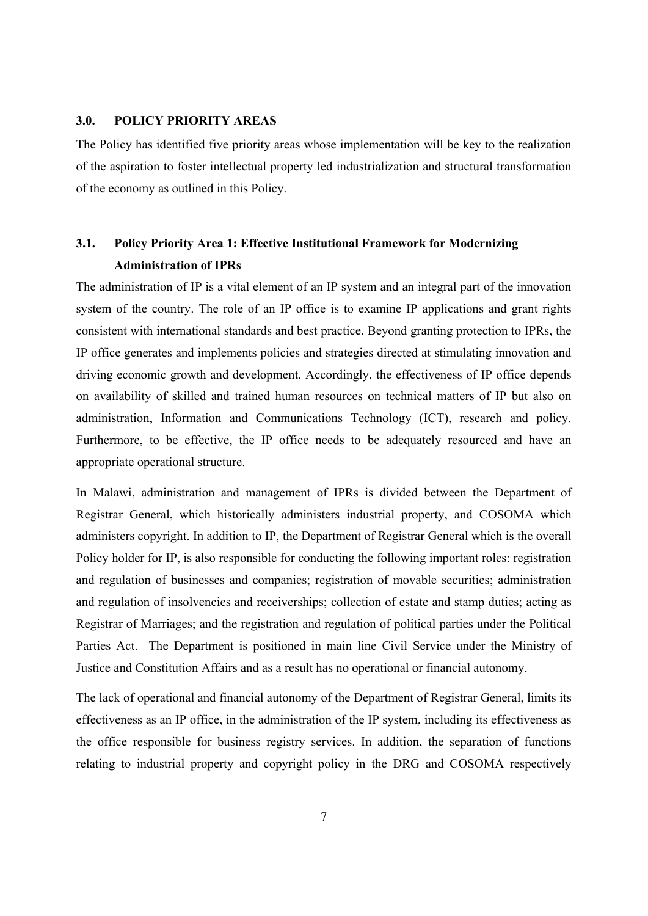## **3.0. POLICY PRIORITY AREAS**

The Policy has identified five priority areas whose implementation will be key to the realization of the aspiration to foster intellectual property led industrialization and structural transformation of the economy as outlined in this Policy.

## **3.1. Policy Priority Area 1: Effective Institutional Framework for Modernizing Administration of IPRs**

The administration of IP is a vital element of an IP system and an integral part of the innovation system of the country. The role of an IP office is to examine IP applications and grant rights consistent with international standards and best practice. Beyond granting protection to IPRs, the IP office generates and implements policies and strategies directed at stimulating innovation and driving economic growth and development. Accordingly, the effectiveness of IP office depends on availability of skilled and trained human resources on technical matters of IP but also on administration, Information and Communications Technology (ICT), research and policy. Furthermore, to be effective, the IP office needs to be adequately resourced and have an appropriate operational structure.

In Malawi, administration and management of IPRs is divided between the Department of Registrar General, which historically administers industrial property, and COSOMA which administers copyright. In addition to IP, the Department of Registrar General which is the overall Policy holder for IP, is also responsible for conducting the following important roles: registration and regulation of businesses and companies; registration of movable securities; administration and regulation of insolvencies and receiverships; collection of estate and stamp duties; acting as Registrar of Marriages; and the registration and regulation of political parties under the Political Parties Act. The Department is positioned in main line Civil Service under the Ministry of Justice and Constitution Affairs and as a result has no operational or financial autonomy.

The lack of operational and financial autonomy of the Department of Registrar General, limits its effectiveness as an IP office, in the administration of the IP system, including its effectiveness as the office responsible for business registry services. In addition, the separation of functions relating to industrial property and copyright policy in the DRG and COSOMA respectively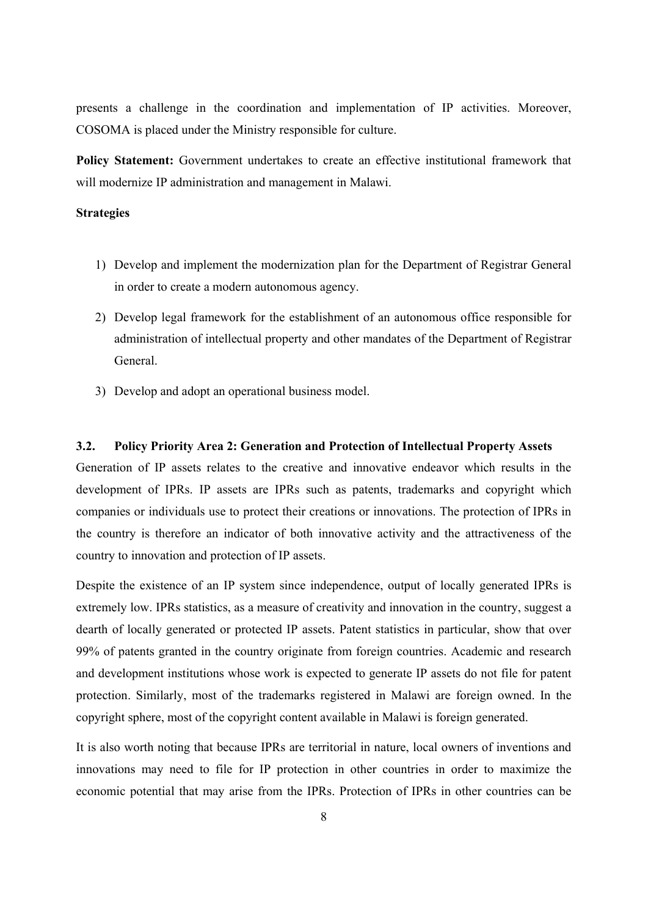presents a challenge in the coordination and implementation of IP activities. Moreover, COSOMA is placed under the Ministry responsible for culture.

Policy Statement: Government undertakes to create an effective institutional framework that will modernize IP administration and management in Malawi.

#### **Strategies**

- 1) Develop and implement the modernization plan for the Department of Registrar General in order to create a modern autonomous agency.
- 2) Develop legal framework for the establishment of an autonomous office responsible for administration of intellectual property and other mandates of the Department of Registrar General.
- 3) Develop and adopt an operational business model.

## **3.2. Policy Priority Area 2: Generation and Protection of Intellectual Property Assets**

Generation of IP assets relates to the creative and innovative endeavor which results in the development of IPRs. IP assets are IPRs such as patents, trademarks and copyright which companies or individuals use to protect their creations or innovations. The protection of IPRs in the country is therefore an indicator of both innovative activity and the attractiveness of the country to innovation and protection of IP assets.

Despite the existence of an IP system since independence, output of locally generated IPRs is extremely low. IPRs statistics, as a measure of creativity and innovation in the country, suggest a dearth of locally generated or protected IP assets. Patent statistics in particular, show that over 99% of patents granted in the country originate from foreign countries. Academic and research and development institutions whose work is expected to generate IP assets do not file for patent protection. Similarly, most of the trademarks registered in Malawi are foreign owned. In the copyright sphere, most of the copyright content available in Malawi is foreign generated.

It is also worth noting that because IPRs are territorial in nature, local owners of inventions and innovations may need to file for IP protection in other countries in order to maximize the economic potential that may arise from the IPRs. Protection of IPRs in other countries can be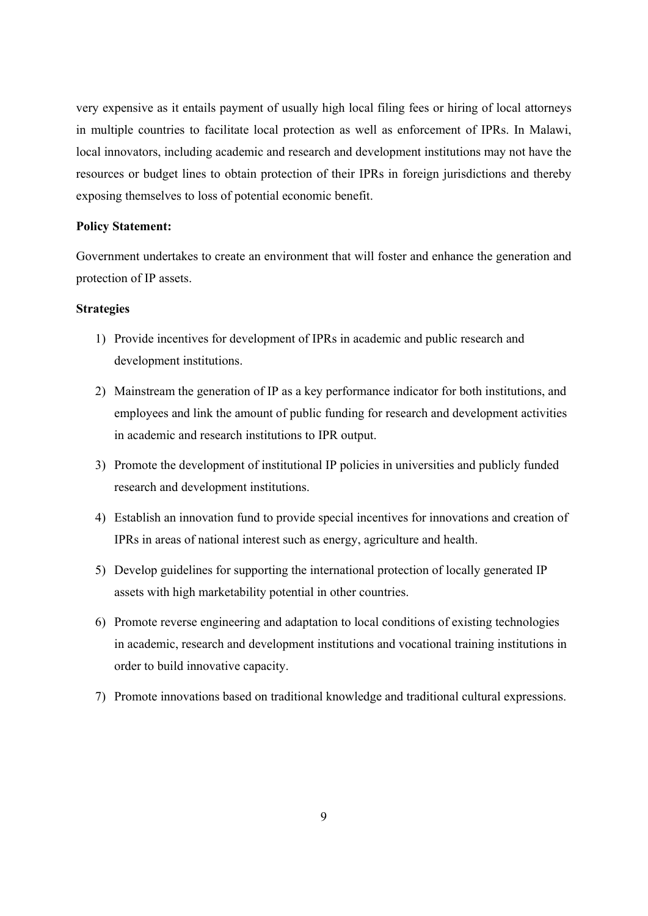very expensive as it entails payment of usually high local filing fees or hiring of local attorneys in multiple countries to facilitate local protection as well as enforcement of IPRs. In Malawi, local innovators, including academic and research and development institutions may not have the resources or budget lines to obtain protection of their IPRs in foreign jurisdictions and thereby exposing themselves to loss of potential economic benefit.

## **Policy Statement:**

Government undertakes to create an environment that will foster and enhance the generation and protection of IP assets.

## **Strategies**

- 1) Provide incentives for development of IPRs in academic and public research and development institutions.
- 2) Mainstream the generation of IP as a key performance indicator for both institutions, and employees and link the amount of public funding for research and development activities in academic and research institutions to IPR output.
- 3) Promote the development of institutional IP policies in universities and publicly funded research and development institutions.
- 4) Establish an innovation fund to provide special incentives for innovations and creation of IPRs in areas of national interest such as energy, agriculture and health.
- 5) Develop guidelines for supporting the international protection of locally generated IP assets with high marketability potential in other countries.
- 6) Promote reverse engineering and adaptation to local conditions of existing technologies in academic, research and development institutions and vocational training institutions in order to build innovative capacity.
- 7) Promote innovations based on traditional knowledge and traditional cultural expressions.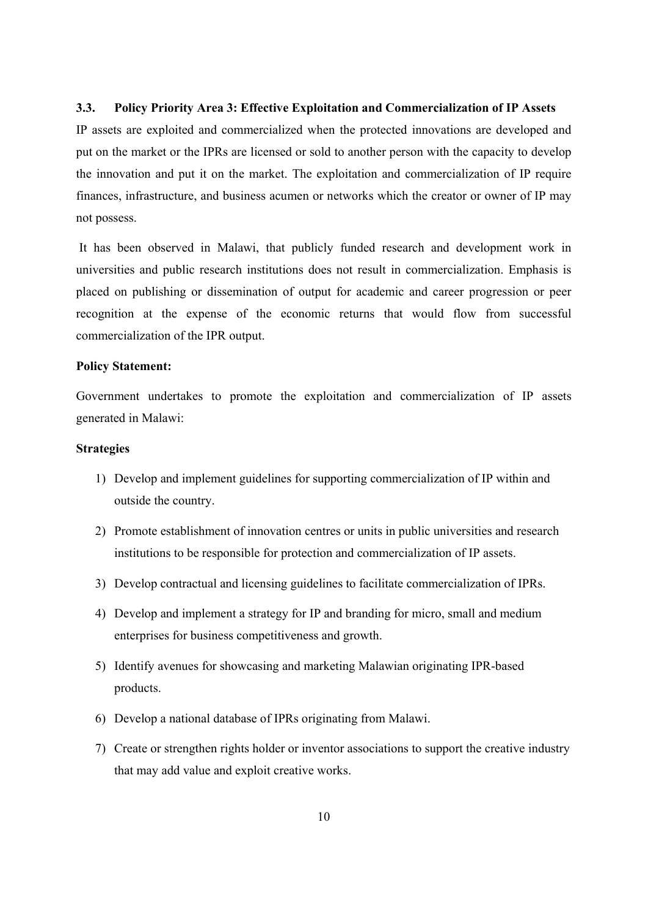## **3.3. Policy Priority Area 3: Effective Exploitation and Commercialization of IP Assets**

IP assets are exploited and commercialized when the protected innovations are developed and put on the market or the IPRs are licensed or sold to another person with the capacity to develop the innovation and put it on the market. The exploitation and commercialization of IP require finances, infrastructure, and business acumen or networks which the creator or owner of IP may not possess.

 It has been observed in Malawi, that publicly funded research and development work in universities and public research institutions does not result in commercialization. Emphasis is placed on publishing or dissemination of output for academic and career progression or peer recognition at the expense of the economic returns that would flow from successful commercialization of the IPR output.

#### **Policy Statement:**

Government undertakes to promote the exploitation and commercialization of IP assets generated in Malawi:

#### **Strategies**

- 1) Develop and implement guidelines for supporting commercialization of IP within and outside the country.
- 2) Promote establishment of innovation centres or units in public universities and research institutions to be responsible for protection and commercialization of IP assets.
- 3) Develop contractual and licensing guidelines to facilitate commercialization of IPRs.
- 4) Develop and implement a strategy for IP and branding for micro, small and medium enterprises for business competitiveness and growth.
- 5) Identify avenues for showcasing and marketing Malawian originating IPR-based products.
- 6) Develop a national database of IPRs originating from Malawi.
- 7) Create or strengthen rights holder or inventor associations to support the creative industry that may add value and exploit creative works.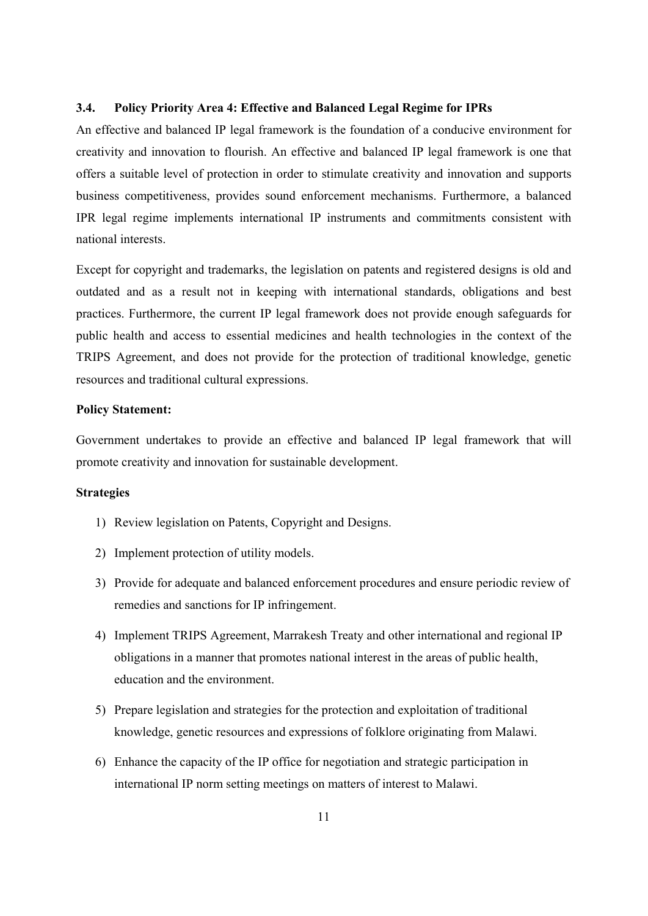## **3.4. Policy Priority Area 4: Effective and Balanced Legal Regime for IPRs**

An effective and balanced IP legal framework is the foundation of a conducive environment for creativity and innovation to flourish. An effective and balanced IP legal framework is one that offers a suitable level of protection in order to stimulate creativity and innovation and supports business competitiveness, provides sound enforcement mechanisms. Furthermore, a balanced IPR legal regime implements international IP instruments and commitments consistent with national interests.

Except for copyright and trademarks, the legislation on patents and registered designs is old and outdated and as a result not in keeping with international standards, obligations and best practices. Furthermore, the current IP legal framework does not provide enough safeguards for public health and access to essential medicines and health technologies in the context of the TRIPS Agreement, and does not provide for the protection of traditional knowledge, genetic resources and traditional cultural expressions.

## **Policy Statement:**

Government undertakes to provide an effective and balanced IP legal framework that will promote creativity and innovation for sustainable development.

## **Strategies**

- 1) Review legislation on Patents, Copyright and Designs.
- 2) Implement protection of utility models.
- 3) Provide for adequate and balanced enforcement procedures and ensure periodic review of remedies and sanctions for IP infringement.
- 4) Implement TRIPS Agreement, Marrakesh Treaty and other international and regional IP obligations in a manner that promotes national interest in the areas of public health, education and the environment.
- 5) Prepare legislation and strategies for the protection and exploitation of traditional knowledge, genetic resources and expressions of folklore originating from Malawi.
- 6) Enhance the capacity of the IP office for negotiation and strategic participation in international IP norm setting meetings on matters of interest to Malawi.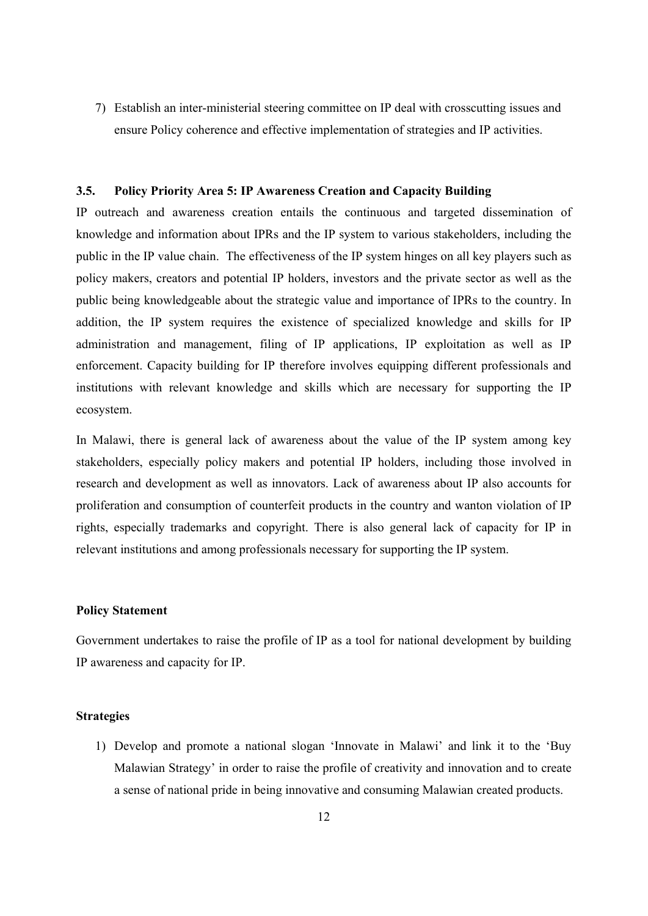7) Establish an inter-ministerial steering committee on IP deal with crosscutting issues and ensure Policy coherence and effective implementation of strategies and IP activities.

## **3.5. Policy Priority Area 5: IP Awareness Creation and Capacity Building**

IP outreach and awareness creation entails the continuous and targeted dissemination of knowledge and information about IPRs and the IP system to various stakeholders, including the public in the IP value chain. The effectiveness of the IP system hinges on all key players such as policy makers, creators and potential IP holders, investors and the private sector as well as the public being knowledgeable about the strategic value and importance of IPRs to the country. In addition, the IP system requires the existence of specialized knowledge and skills for IP administration and management, filing of IP applications, IP exploitation as well as IP enforcement. Capacity building for IP therefore involves equipping different professionals and institutions with relevant knowledge and skills which are necessary for supporting the IP ecosystem.

In Malawi, there is general lack of awareness about the value of the IP system among key stakeholders, especially policy makers and potential IP holders, including those involved in research and development as well as innovators. Lack of awareness about IP also accounts for proliferation and consumption of counterfeit products in the country and wanton violation of IP rights, especially trademarks and copyright. There is also general lack of capacity for IP in relevant institutions and among professionals necessary for supporting the IP system.

#### **Policy Statement**

Government undertakes to raise the profile of IP as a tool for national development by building IP awareness and capacity for IP.

## **Strategies**

1) Develop and promote a national slogan 'Innovate in Malawi' and link it to the 'Buy Malawian Strategy' in order to raise the profile of creativity and innovation and to create a sense of national pride in being innovative and consuming Malawian created products.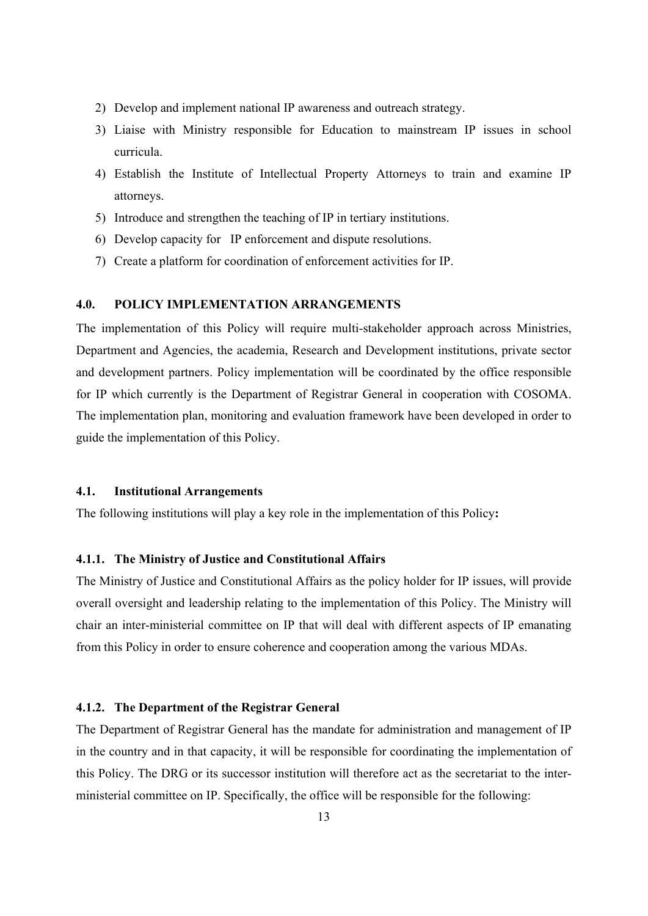- 2) Develop and implement national IP awareness and outreach strategy.
- 3) Liaise with Ministry responsible for Education to mainstream IP issues in school curricula.
- 4) Establish the Institute of Intellectual Property Attorneys to train and examine IP attorneys.
- 5) Introduce and strengthen the teaching of IP in tertiary institutions.
- 6) Develop capacity for IP enforcement and dispute resolutions.
- 7) Create a platform for coordination of enforcement activities for IP.

## **4.0. POLICY IMPLEMENTATION ARRANGEMENTS**

The implementation of this Policy will require multi-stakeholder approach across Ministries, Department and Agencies, the academia, Research and Development institutions, private sector and development partners. Policy implementation will be coordinated by the office responsible for IP which currently is the Department of Registrar General in cooperation with COSOMA. The implementation plan, monitoring and evaluation framework have been developed in order to guide the implementation of this Policy.

#### **4.1. Institutional Arrangements**

The following institutions will play a key role in the implementation of this Policy**:**

## **4.1.1. The Ministry of Justice and Constitutional Affairs**

The Ministry of Justice and Constitutional Affairs as the policy holder for IP issues, will provide overall oversight and leadership relating to the implementation of this Policy. The Ministry will chair an inter-ministerial committee on IP that will deal with different aspects of IP emanating from this Policy in order to ensure coherence and cooperation among the various MDAs.

## **4.1.2. The Department of the Registrar General**

The Department of Registrar General has the mandate for administration and management of IP in the country and in that capacity, it will be responsible for coordinating the implementation of this Policy. The DRG or its successor institution will therefore act as the secretariat to the interministerial committee on IP. Specifically, the office will be responsible for the following: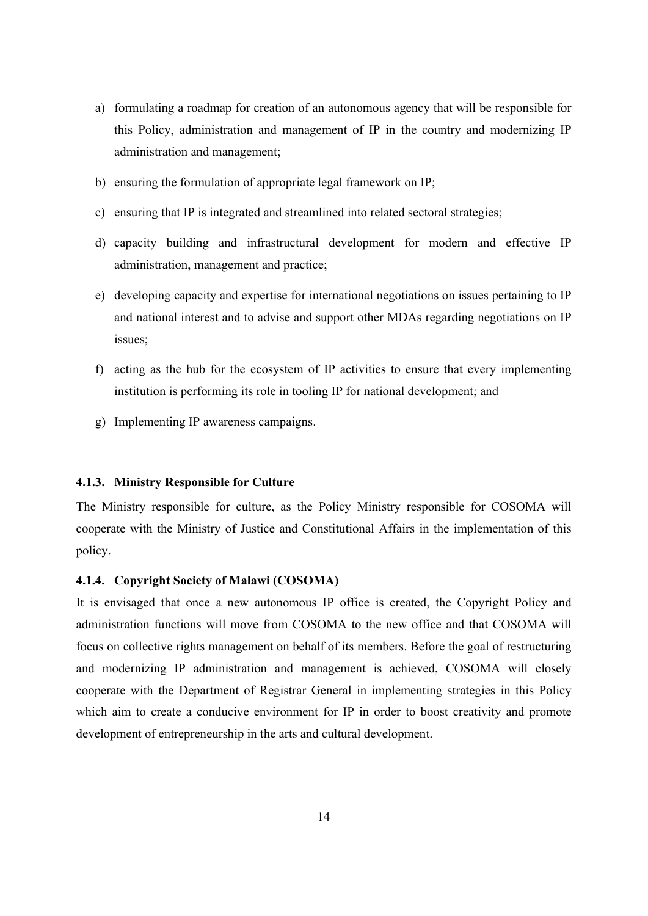- a) formulating a roadmap for creation of an autonomous agency that will be responsible for this Policy, administration and management of IP in the country and modernizing IP administration and management;
- b) ensuring the formulation of appropriate legal framework on IP;
- c) ensuring that IP is integrated and streamlined into related sectoral strategies;
- d) capacity building and infrastructural development for modern and effective IP administration, management and practice;
- e) developing capacity and expertise for international negotiations on issues pertaining to IP and national interest and to advise and support other MDAs regarding negotiations on IP issues;
- f) acting as the hub for the ecosystem of IP activities to ensure that every implementing institution is performing its role in tooling IP for national development; and
- g) Implementing IP awareness campaigns.

## **4.1.3. Ministry Responsible for Culture**

The Ministry responsible for culture, as the Policy Ministry responsible for COSOMA will cooperate with the Ministry of Justice and Constitutional Affairs in the implementation of this policy.

## **4.1.4. Copyright Society of Malawi (COSOMA)**

It is envisaged that once a new autonomous IP office is created, the Copyright Policy and administration functions will move from COSOMA to the new office and that COSOMA will focus on collective rights management on behalf of its members. Before the goal of restructuring and modernizing IP administration and management is achieved, COSOMA will closely cooperate with the Department of Registrar General in implementing strategies in this Policy which aim to create a conducive environment for IP in order to boost creativity and promote development of entrepreneurship in the arts and cultural development.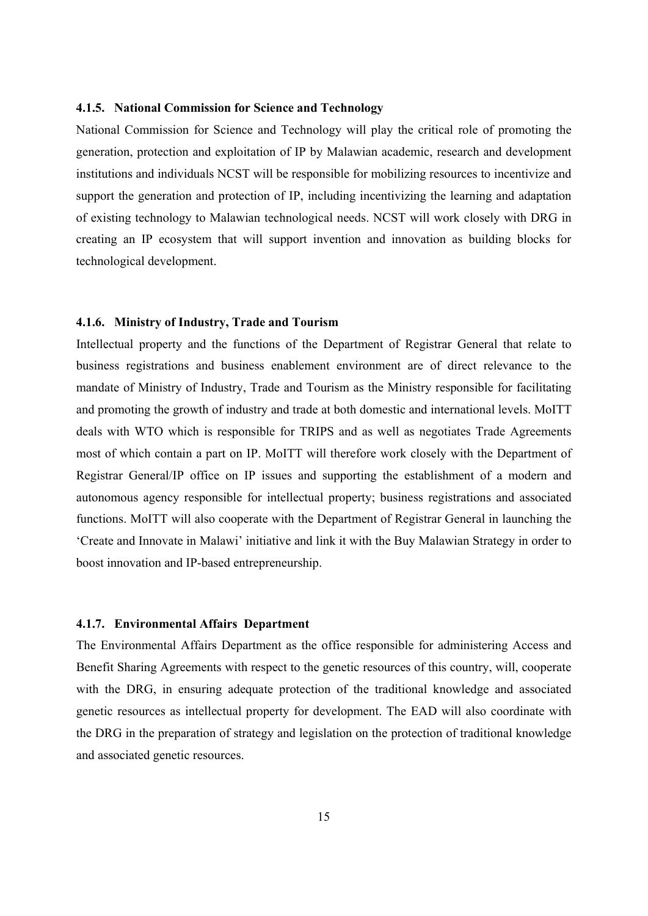## **4.1.5. National Commission for Science and Technology**

National Commission for Science and Technology will play the critical role of promoting the generation, protection and exploitation of IP by Malawian academic, research and development institutions and individuals NCST will be responsible for mobilizing resources to incentivize and support the generation and protection of IP, including incentivizing the learning and adaptation of existing technology to Malawian technological needs. NCST will work closely with DRG in creating an IP ecosystem that will support invention and innovation as building blocks for technological development.

## **4.1.6. Ministry of Industry, Trade and Tourism**

Intellectual property and the functions of the Department of Registrar General that relate to business registrations and business enablement environment are of direct relevance to the mandate of Ministry of Industry, Trade and Tourism as the Ministry responsible for facilitating and promoting the growth of industry and trade at both domestic and international levels. MoITT deals with WTO which is responsible for TRIPS and as well as negotiates Trade Agreements most of which contain a part on IP. MoITT will therefore work closely with the Department of Registrar General/IP office on IP issues and supporting the establishment of a modern and autonomous agency responsible for intellectual property; business registrations and associated functions. MoITT will also cooperate with the Department of Registrar General in launching the 'Create and Innovate in Malawi' initiative and link it with the Buy Malawian Strategy in order to boost innovation and IP-based entrepreneurship.

### **4.1.7. Environmental Affairs Department**

The Environmental Affairs Department as the office responsible for administering Access and Benefit Sharing Agreements with respect to the genetic resources of this country, will, cooperate with the DRG, in ensuring adequate protection of the traditional knowledge and associated genetic resources as intellectual property for development. The EAD will also coordinate with the DRG in the preparation of strategy and legislation on the protection of traditional knowledge and associated genetic resources.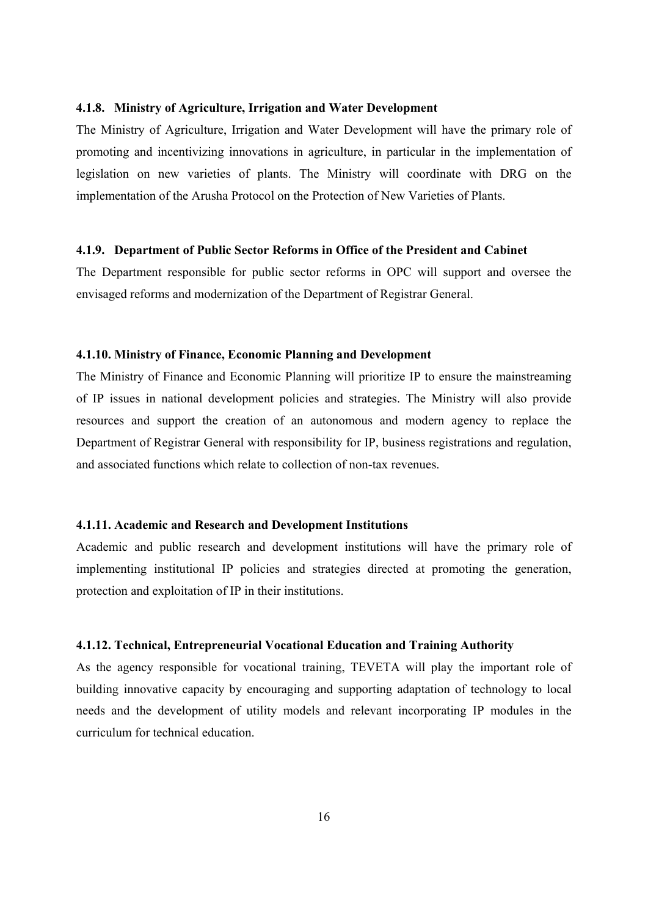## **4.1.8. Ministry of Agriculture, Irrigation and Water Development**

The Ministry of Agriculture, Irrigation and Water Development will have the primary role of promoting and incentivizing innovations in agriculture, in particular in the implementation of legislation on new varieties of plants. The Ministry will coordinate with DRG on the implementation of the Arusha Protocol on the Protection of New Varieties of Plants.

## **4.1.9. Department of Public Sector Reforms in Office of the President and Cabinet**

The Department responsible for public sector reforms in OPC will support and oversee the envisaged reforms and modernization of the Department of Registrar General.

### **4.1.10. Ministry of Finance, Economic Planning and Development**

The Ministry of Finance and Economic Planning will prioritize IP to ensure the mainstreaming of IP issues in national development policies and strategies. The Ministry will also provide resources and support the creation of an autonomous and modern agency to replace the Department of Registrar General with responsibility for IP, business registrations and regulation, and associated functions which relate to collection of non-tax revenues.

#### **4.1.11. Academic and Research and Development Institutions**

Academic and public research and development institutions will have the primary role of implementing institutional IP policies and strategies directed at promoting the generation, protection and exploitation of IP in their institutions.

## **4.1.12. Technical, Entrepreneurial Vocational Education and Training Authority**

As the agency responsible for vocational training, TEVETA will play the important role of building innovative capacity by encouraging and supporting adaptation of technology to local needs and the development of utility models and relevant incorporating IP modules in the curriculum for technical education.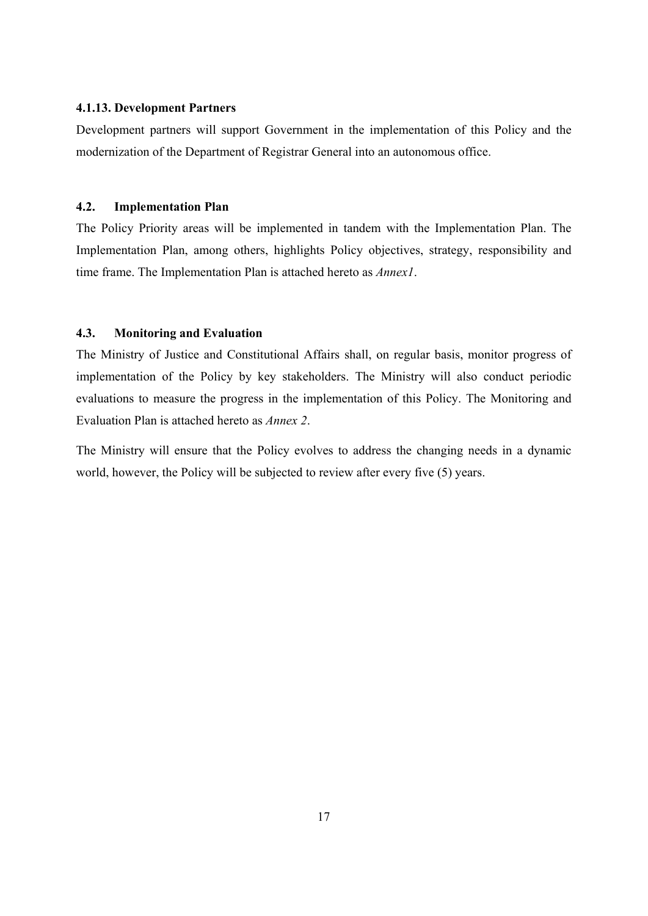## **4.1.13. Development Partners**

Development partners will support Government in the implementation of this Policy and the modernization of the Department of Registrar General into an autonomous office.

### **4.2. Implementation Plan**

The Policy Priority areas will be implemented in tandem with the Implementation Plan. The Implementation Plan, among others, highlights Policy objectives, strategy, responsibility and time frame. The Implementation Plan is attached hereto as *Annex1*.

## **4.3. Monitoring and Evaluation**

The Ministry of Justice and Constitutional Affairs shall, on regular basis, monitor progress of implementation of the Policy by key stakeholders. The Ministry will also conduct periodic evaluations to measure the progress in the implementation of this Policy. The Monitoring and Evaluation Plan is attached hereto as *Annex 2*.

The Ministry will ensure that the Policy evolves to address the changing needs in a dynamic world, however, the Policy will be subjected to review after every five (5) years.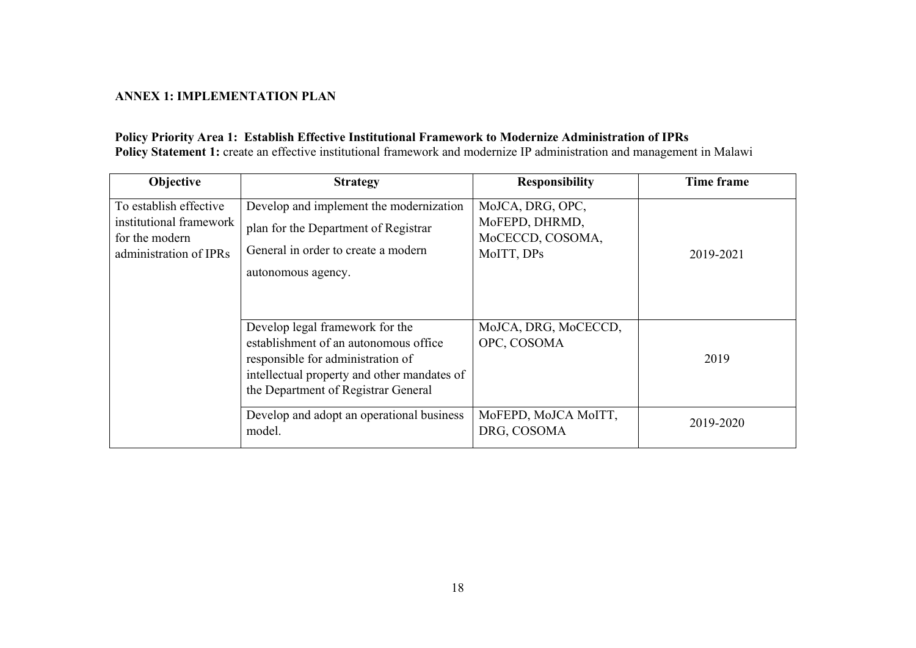## **ANNEX 1: IMPLEMENTATION PLAN**

## **Policy Priority Area 1: Establish Effective Institutional Framework to Modernize Administration of IPRs Policy Statement 1:** create an effective institutional framework and modernize IP administration and management in Malawi

| Objective                                                                                     | <b>Strategy</b>                                                                                                                                                                                     | <b>Responsibility</b>                                                | Time frame |
|-----------------------------------------------------------------------------------------------|-----------------------------------------------------------------------------------------------------------------------------------------------------------------------------------------------------|----------------------------------------------------------------------|------------|
| To establish effective<br>institutional framework<br>for the modern<br>administration of IPRs | Develop and implement the modernization<br>plan for the Department of Registrar<br>General in order to create a modern<br>autonomous agency.                                                        | MoJCA, DRG, OPC,<br>MoFEPD, DHRMD,<br>MoCECCD, COSOMA,<br>MoITT, DPs | 2019-2021  |
|                                                                                               | Develop legal framework for the<br>establishment of an autonomous office<br>responsible for administration of<br>intellectual property and other mandates of<br>the Department of Registrar General | MoJCA, DRG, MoCECCD,<br>OPC, COSOMA                                  | 2019       |
|                                                                                               | Develop and adopt an operational business<br>model.                                                                                                                                                 | MoFEPD, MoJCA MoITT,<br>DRG, COSOMA                                  | 2019-2020  |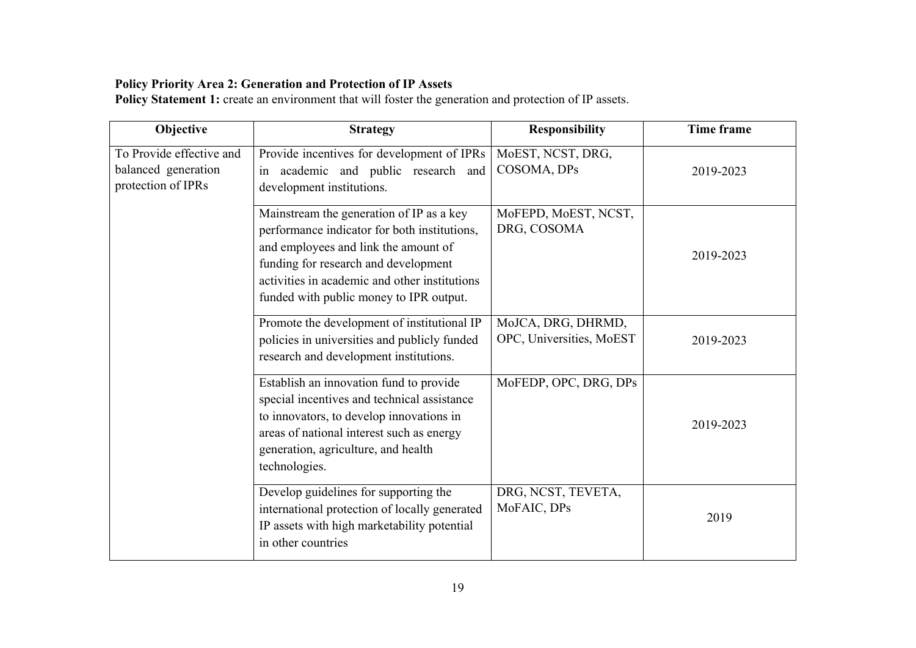## **Policy Priority Area 2: Generation and Protection of IP Assets**

Policy Statement 1: create an environment that will foster the generation and protection of IP assets.

| Objective                                                             | <b>Strategy</b>                                                                                                                                                                                                                                                      | <b>Responsibility</b>                          | Time frame |
|-----------------------------------------------------------------------|----------------------------------------------------------------------------------------------------------------------------------------------------------------------------------------------------------------------------------------------------------------------|------------------------------------------------|------------|
| To Provide effective and<br>balanced generation<br>protection of IPRs | Provide incentives for development of IPRs<br>academic and public research and<br>in<br>development institutions.                                                                                                                                                    | MoEST, NCST, DRG,<br>COSOMA, DPs               | 2019-2023  |
|                                                                       | Mainstream the generation of IP as a key<br>performance indicator for both institutions,<br>and employees and link the amount of<br>funding for research and development<br>activities in academic and other institutions<br>funded with public money to IPR output. | MoFEPD, MoEST, NCST,<br>DRG, COSOMA            | 2019-2023  |
|                                                                       | Promote the development of institutional IP<br>policies in universities and publicly funded<br>research and development institutions.                                                                                                                                | MoJCA, DRG, DHRMD,<br>OPC, Universities, MoEST | 2019-2023  |
|                                                                       | Establish an innovation fund to provide<br>special incentives and technical assistance<br>to innovators, to develop innovations in<br>areas of national interest such as energy<br>generation, agriculture, and health<br>technologies.                              | MoFEDP, OPC, DRG, DPs                          | 2019-2023  |
|                                                                       | Develop guidelines for supporting the<br>international protection of locally generated<br>IP assets with high marketability potential<br>in other countries                                                                                                          | DRG, NCST, TEVETA,<br>MoFAIC, DPs              | 2019       |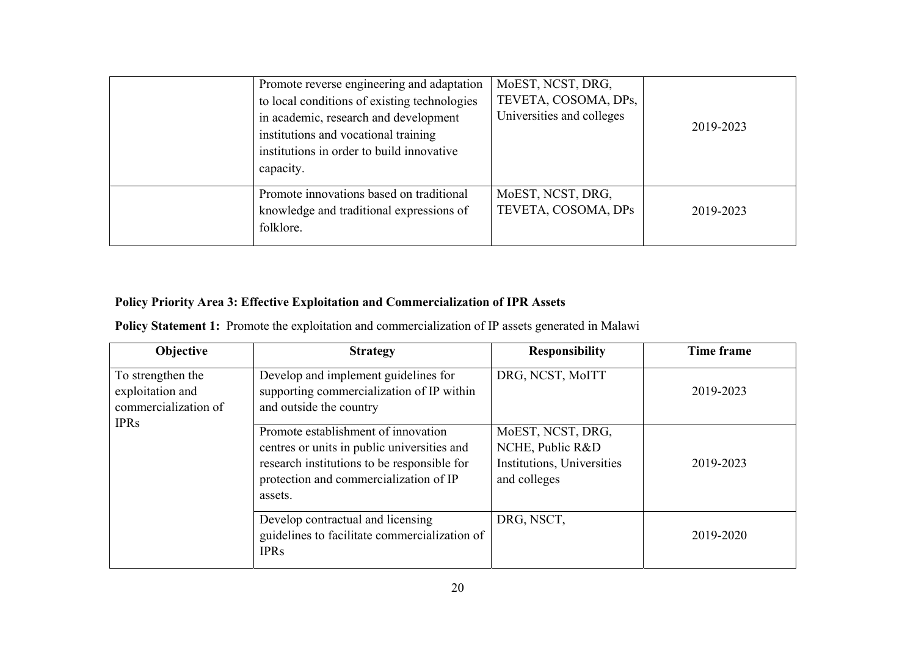| Promote reverse engineering and adaptation<br>to local conditions of existing technologies<br>in academic, research and development<br>institutions and vocational training<br>institutions in order to build innovative<br>capacity. | MoEST, NCST, DRG,<br>TEVETA, COSOMA, DPs,<br>Universities and colleges | 2019-2023 |
|---------------------------------------------------------------------------------------------------------------------------------------------------------------------------------------------------------------------------------------|------------------------------------------------------------------------|-----------|
| Promote innovations based on traditional<br>knowledge and traditional expressions of<br>folklore.                                                                                                                                     | MoEST, NCST, DRG,<br>TEVETA, COSOMA, DPs                               | 2019-2023 |

# **Policy Priority Area 3: Effective Exploitation and Commercialization of IPR Assets**

| Objective                                                                    | <b>Strategy</b>                                                                                                                                                                        | <b>Responsibility</b>                                                               | Time frame |
|------------------------------------------------------------------------------|----------------------------------------------------------------------------------------------------------------------------------------------------------------------------------------|-------------------------------------------------------------------------------------|------------|
| To strengthen the<br>exploitation and<br>commercialization of<br><b>IPRs</b> | Develop and implement guidelines for<br>supporting commercialization of IP within<br>and outside the country                                                                           | DRG, NCST, MoITT                                                                    | 2019-2023  |
|                                                                              | Promote establishment of innovation<br>centres or units in public universities and<br>research institutions to be responsible for<br>protection and commercialization of IP<br>assets. | MoEST, NCST, DRG,<br>NCHE, Public R&D<br>Institutions, Universities<br>and colleges | 2019-2023  |
|                                                                              | Develop contractual and licensing<br>guidelines to facilitate commercialization of<br><b>IPRs</b>                                                                                      | DRG, NSCT,                                                                          | 2019-2020  |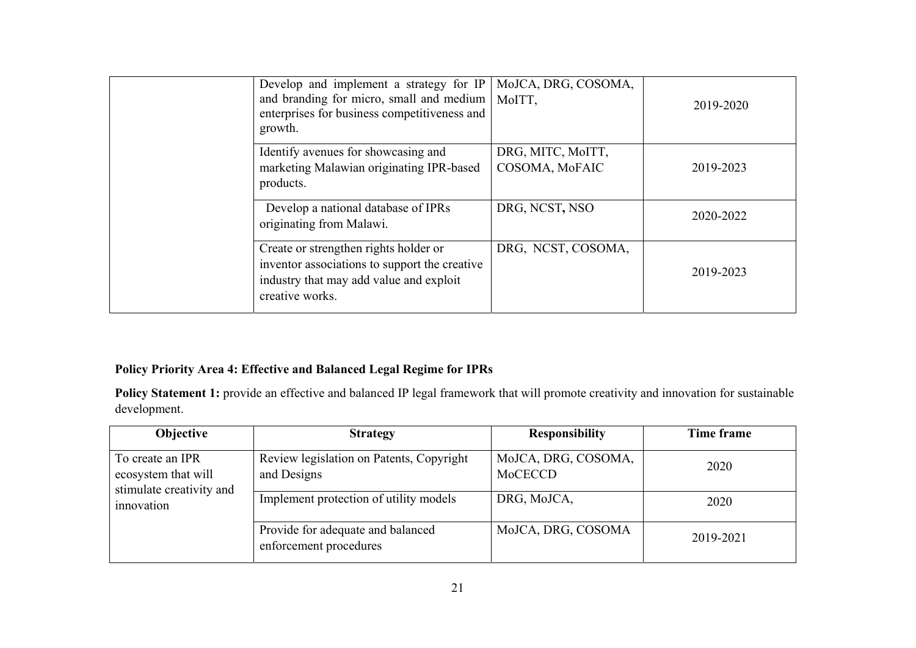| Develop and implement a strategy for IP<br>and branding for micro, small and medium<br>enterprises for business competitiveness and<br>growth.       | MoJCA, DRG, COSOMA,<br>MoITT,       | 2019-2020 |
|------------------------------------------------------------------------------------------------------------------------------------------------------|-------------------------------------|-----------|
| Identify avenues for showcasing and<br>marketing Malawian originating IPR-based<br>products.                                                         | DRG, MITC, MoITT,<br>COSOMA, MoFAIC | 2019-2023 |
| Develop a national database of IPRs<br>originating from Malawi.                                                                                      | DRG, NCST, NSO                      | 2020-2022 |
| Create or strengthen rights holder or<br>inventor associations to support the creative<br>industry that may add value and exploit<br>creative works. | DRG, NCST, COSOMA,                  | 2019-2023 |

## **Policy Priority Area 4: Effective and Balanced Legal Regime for IPRs**

Policy Statement 1: provide an effective and balanced IP legal framework that will promote creativity and innovation for sustainable development.

| Objective                                                                         | <b>Strategy</b>                                             | <b>Responsibility</b>          | Time frame |
|-----------------------------------------------------------------------------------|-------------------------------------------------------------|--------------------------------|------------|
| To create an IPR<br>ecosystem that will<br>stimulate creativity and<br>innovation | Review legislation on Patents, Copyright<br>and Designs     | MoJCA, DRG, COSOMA,<br>MoCECCD | 2020       |
|                                                                                   | Implement protection of utility models                      | DRG, MoJCA,                    | 2020       |
|                                                                                   | Provide for adequate and balanced<br>enforcement procedures | MoJCA, DRG, COSOMA             | 2019-2021  |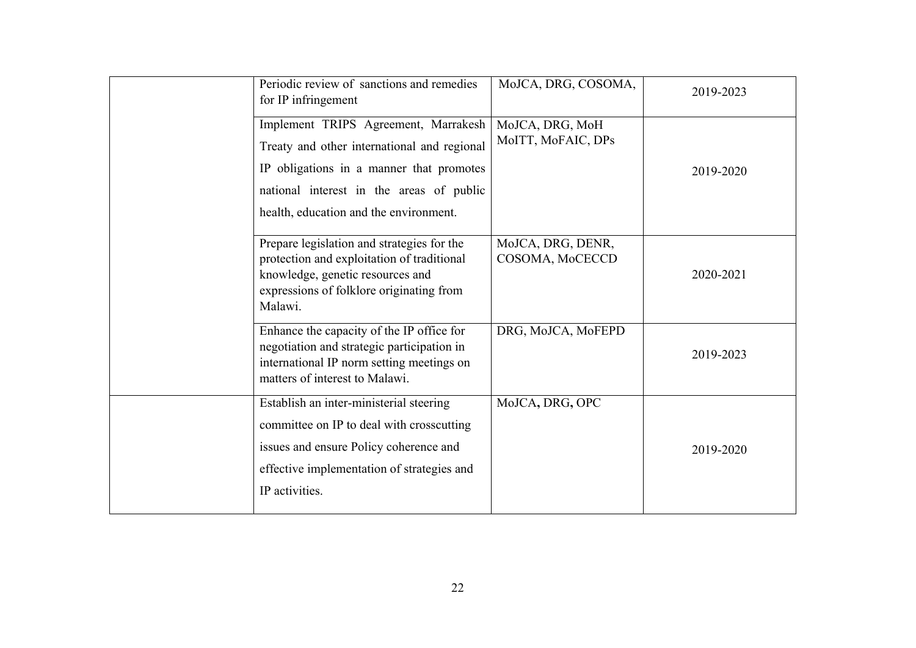| Periodic review of sanctions and remedies<br>for IP infringement                                                                                                                                                      | MoJCA, DRG, COSOMA,                   | 2019-2023 |
|-----------------------------------------------------------------------------------------------------------------------------------------------------------------------------------------------------------------------|---------------------------------------|-----------|
| Implement TRIPS Agreement, Marrakesh<br>Treaty and other international and regional<br>IP obligations in a manner that promotes<br>national interest in the areas of public<br>health, education and the environment. | MoJCA, DRG, MoH<br>MoITT, MoFAIC, DPs | 2019-2020 |
| Prepare legislation and strategies for the<br>protection and exploitation of traditional<br>knowledge, genetic resources and<br>expressions of folklore originating from<br>Malawi.                                   | MoJCA, DRG, DENR,<br>COSOMA, MoCECCD  | 2020-2021 |
| Enhance the capacity of the IP office for<br>negotiation and strategic participation in<br>international IP norm setting meetings on<br>matters of interest to Malawi.                                                | DRG, MoJCA, MoFEPD                    | 2019-2023 |
| Establish an inter-ministerial steering<br>committee on IP to deal with crosscutting<br>issues and ensure Policy coherence and<br>effective implementation of strategies and<br>IP activities.                        | MoJCA, DRG, OPC                       | 2019-2020 |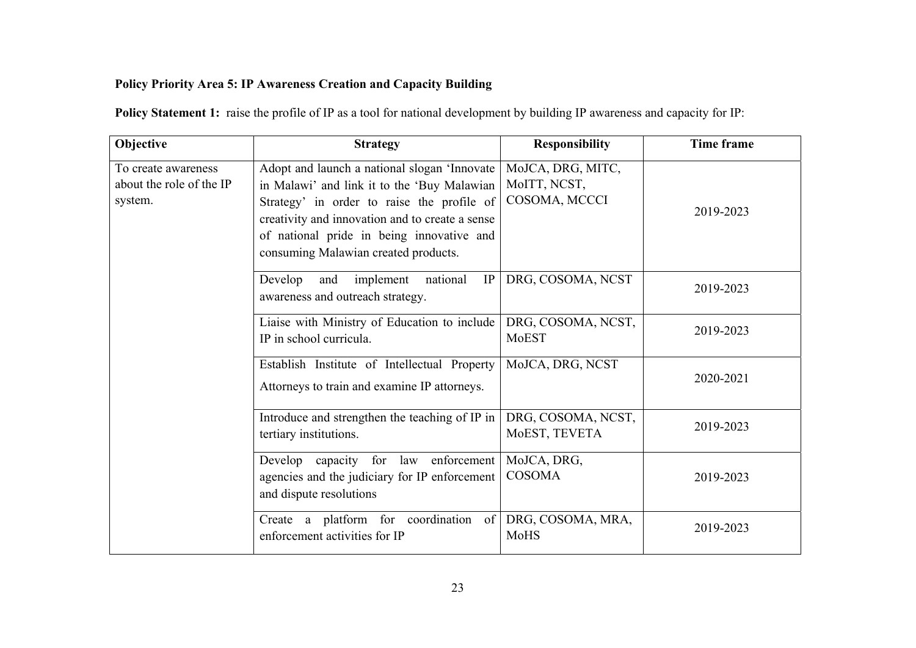## **Policy Priority Area 5: IP Awareness Creation and Capacity Building**

**Policy Statement 1:** raise the profile of IP as a tool for national development by building IP awareness and capacity for IP:

| Objective                                                  | <b>Strategy</b>                                                                                                                                                                                                                                                                   | <b>Responsibility</b>                              | Time frame |
|------------------------------------------------------------|-----------------------------------------------------------------------------------------------------------------------------------------------------------------------------------------------------------------------------------------------------------------------------------|----------------------------------------------------|------------|
| To create awareness<br>about the role of the IP<br>system. | Adopt and launch a national slogan 'Innovate<br>in Malawi' and link it to the 'Buy Malawian<br>Strategy' in order to raise the profile of<br>creativity and innovation and to create a sense<br>of national pride in being innovative and<br>consuming Malawian created products. | MoJCA, DRG, MITC,<br>MoITT, NCST,<br>COSOMA, MCCCI | 2019-2023  |
|                                                            | Develop<br>implement<br>national<br>and<br>IP<br>awareness and outreach strategy.                                                                                                                                                                                                 | DRG, COSOMA, NCST                                  | 2019-2023  |
|                                                            | Liaise with Ministry of Education to include<br>IP in school curricula.                                                                                                                                                                                                           | DRG, COSOMA, NCST,<br>MoEST                        | 2019-2023  |
|                                                            | Establish Institute of Intellectual Property<br>Attorneys to train and examine IP attorneys.                                                                                                                                                                                      | MoJCA, DRG, NCST                                   | 2020-2021  |
|                                                            | Introduce and strengthen the teaching of IP in<br>tertiary institutions.                                                                                                                                                                                                          | DRG, COSOMA, NCST,<br>MoEST, TEVETA                | 2019-2023  |
|                                                            | Develop capacity for law enforcement<br>agencies and the judiciary for IP enforcement<br>and dispute resolutions                                                                                                                                                                  | MoJCA, DRG,<br><b>COSOMA</b>                       | 2019-2023  |
|                                                            | Create a platform for coordination of<br>enforcement activities for IP                                                                                                                                                                                                            | DRG, COSOMA, MRA,<br>MoHS                          | 2019-2023  |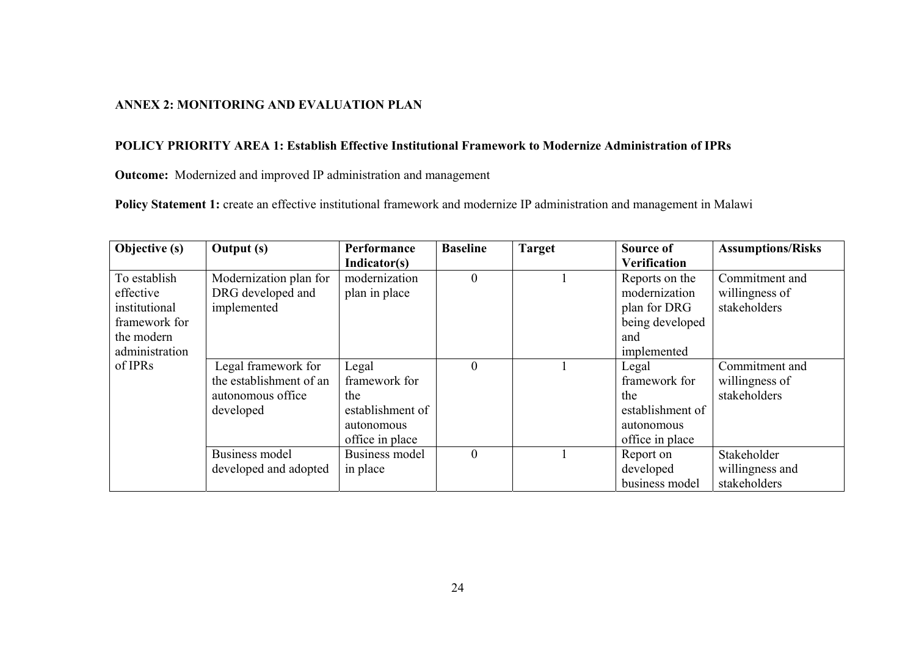## **ANNEX 2: MONITORING AND EVALUATION PLAN**

## **POLICY PRIORITY AREA 1: Establish Effective Institutional Framework to Modernize Administration of IPRs**

**Outcome:** Modernized and improved IP administration and management

Policy Statement 1: create an effective institutional framework and modernize IP administration and management in Malawi

| Objective (s)  | Output (s)              | Performance      | <b>Baseline</b> | <b>Target</b> | Source of           | <b>Assumptions/Risks</b> |
|----------------|-------------------------|------------------|-----------------|---------------|---------------------|--------------------------|
|                |                         | Indicator(s)     |                 |               | <b>Verification</b> |                          |
| To establish   | Modernization plan for  | modernization    | $\theta$        |               | Reports on the      | Commitment and           |
| effective      | DRG developed and       | plan in place    |                 |               | modernization       | willingness of           |
| institutional  | implemented             |                  |                 |               | plan for DRG        | stakeholders             |
| framework for  |                         |                  |                 |               | being developed     |                          |
| the modern     |                         |                  |                 |               | and                 |                          |
| administration |                         |                  |                 |               | implemented         |                          |
| of IPRs        | Legal framework for     | Legal            | $\theta$        |               | Legal               | Commitment and           |
|                | the establishment of an | framework for    |                 |               | framework for       | willingness of           |
|                | autonomous office       | the              |                 |               | the                 | stakeholders             |
|                | developed               | establishment of |                 |               | establishment of    |                          |
|                |                         | autonomous       |                 |               | autonomous          |                          |
|                |                         | office in place  |                 |               | office in place     |                          |
|                | <b>Business model</b>   | Business model   | $\Omega$        |               | Report on           | Stakeholder              |
|                | developed and adopted   | in place         |                 |               | developed           | willingness and          |
|                |                         |                  |                 |               | business model      | stakeholders             |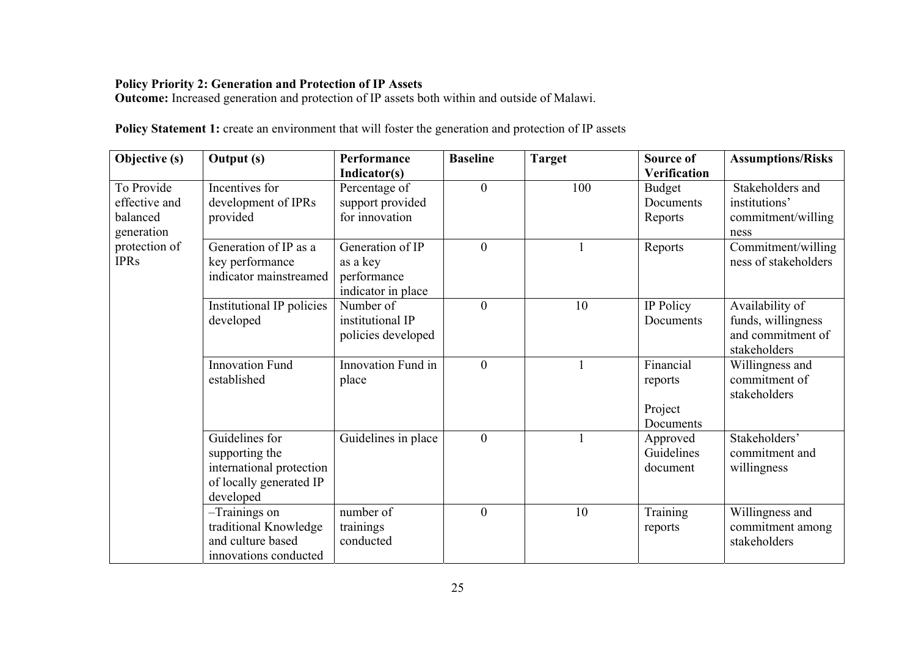## **Policy Priority 2: Generation and Protection of IP Assets**

**Outcome:** Increased generation and protection of IP assets both within and outside of Malawi.

| Policy Statement 1: create an environment that will foster the generation and protection of IP assets |  |  |  |  |  |
|-------------------------------------------------------------------------------------------------------|--|--|--|--|--|
|                                                                                                       |  |  |  |  |  |

| <b>Objective (s)</b> | <b>Output</b> (s)         | <b>Performance</b>  | <b>Baseline</b>  | <b>Target</b> | Source of    | <b>Assumptions/Risks</b> |
|----------------------|---------------------------|---------------------|------------------|---------------|--------------|--------------------------|
|                      |                           | Indicator(s)        |                  |               | Verification |                          |
| To Provide           | Incentives for            | Percentage of       | $\overline{0}$   | 100           | Budget       | Stakeholders and         |
| effective and        | development of IPRs       | support provided    |                  |               | Documents    | institutions'            |
| balanced             | provided                  | for innovation      |                  |               | Reports      | commitment/willing       |
| generation           |                           |                     |                  |               |              | ness                     |
| protection of        | Generation of IP as a     | Generation of IP    | $\overline{0}$   |               | Reports      | Commitment/willing       |
| <b>IPRs</b>          | key performance           | as a key            |                  |               |              | ness of stakeholders     |
|                      | indicator mainstreamed    | performance         |                  |               |              |                          |
|                      |                           | indicator in place  |                  |               |              |                          |
|                      | Institutional IP policies | Number of           | $\boldsymbol{0}$ | 10            | IP Policy    | Availability of          |
|                      | developed                 | institutional IP    |                  |               | Documents    | funds, willingness       |
|                      |                           | policies developed  |                  |               |              | and commitment of        |
|                      |                           |                     |                  |               |              | stakeholders             |
|                      | <b>Innovation Fund</b>    | Innovation Fund in  | $\overline{0}$   |               | Financial    | Willingness and          |
|                      | established               | place               |                  |               | reports      | commitment of            |
|                      |                           |                     |                  |               |              | stakeholders             |
|                      |                           |                     |                  |               | Project      |                          |
|                      |                           |                     |                  |               | Documents    |                          |
|                      | Guidelines for            | Guidelines in place | $\boldsymbol{0}$ |               | Approved     | Stakeholders'            |
|                      | supporting the            |                     |                  |               | Guidelines   | commitment and           |
|                      | international protection  |                     |                  |               | document     | willingness              |
|                      | of locally generated IP   |                     |                  |               |              |                          |
|                      | developed                 |                     |                  |               |              |                          |
|                      | -Trainings on             | number of           | $\overline{0}$   | 10            | Training     | Willingness and          |
|                      | traditional Knowledge     | trainings           |                  |               | reports      | commitment among         |
|                      | and culture based         | conducted           |                  |               |              | stakeholders             |
|                      | innovations conducted     |                     |                  |               |              |                          |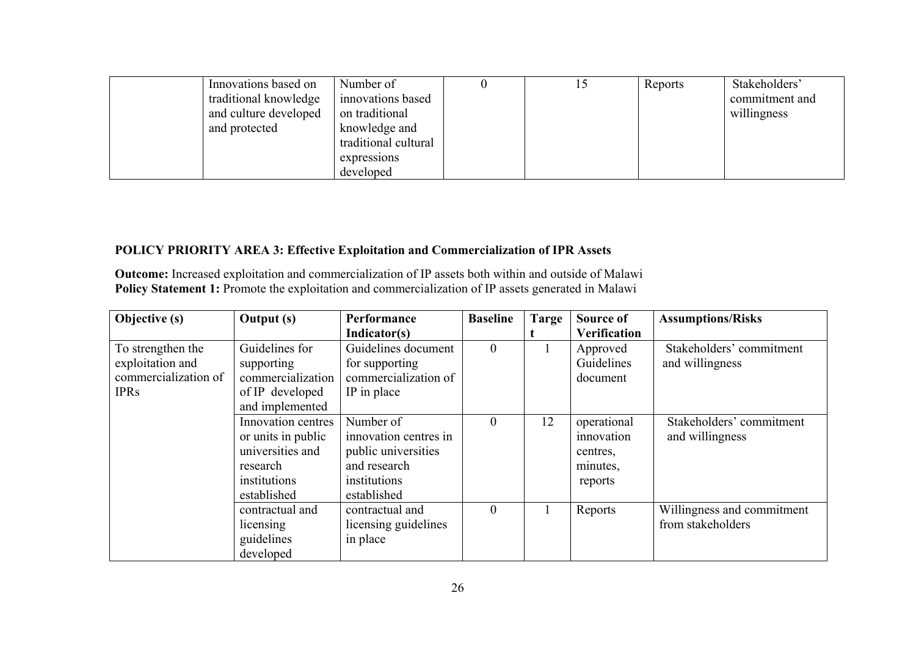| Innovations based on  | Number of            |  | Reports | Stakeholders'  |
|-----------------------|----------------------|--|---------|----------------|
| traditional knowledge | innovations based    |  |         | commitment and |
| and culture developed | on traditional       |  |         | willingness    |
| and protected         | knowledge and        |  |         |                |
|                       | traditional cultural |  |         |                |
|                       | expressions          |  |         |                |
|                       | developed            |  |         |                |

## **POLICY PRIORITY AREA 3: Effective Exploitation and Commercialization of IPR Assets**

**Outcome:** Increased exploitation and commercialization of IP assets both within and outside of Malawi Policy Statement 1: Promote the exploitation and commercialization of IP assets generated in Malawi

| Objective (s)        | <b>Output</b> (s)  | Performance           | <b>Baseline</b>  | Targe | Source of           | <b>Assumptions/Risks</b>   |
|----------------------|--------------------|-----------------------|------------------|-------|---------------------|----------------------------|
|                      |                    | Indicator(s)          |                  |       | <b>Verification</b> |                            |
| To strengthen the    | Guidelines for     | Guidelines document   | $\mathbf{0}$     |       | Approved            | Stakeholders' commitment   |
| exploitation and     | supporting         | for supporting        |                  |       | Guidelines          | and willingness            |
| commercialization of | commercialization  | commercialization of  |                  |       | document            |                            |
| <b>IPRs</b>          | of IP developed    | IP in place           |                  |       |                     |                            |
|                      | and implemented    |                       |                  |       |                     |                            |
|                      | Innovation centres | Number of             | $\boldsymbol{0}$ | 12    | operational         | Stakeholders' commitment   |
|                      | or units in public | innovation centres in |                  |       | innovation          | and willingness            |
|                      | universities and   | public universities   |                  |       | centres.            |                            |
|                      | research           | and research          |                  |       | minutes,            |                            |
|                      | institutions       | institutions          |                  |       | reports             |                            |
|                      | established        | established           |                  |       |                     |                            |
|                      | contractual and    | contractual and       | $\mathbf{0}$     |       | Reports             | Willingness and commitment |
|                      | licensing          | licensing guidelines  |                  |       |                     | from stakeholders          |
|                      | guidelines         | in place              |                  |       |                     |                            |
|                      | developed          |                       |                  |       |                     |                            |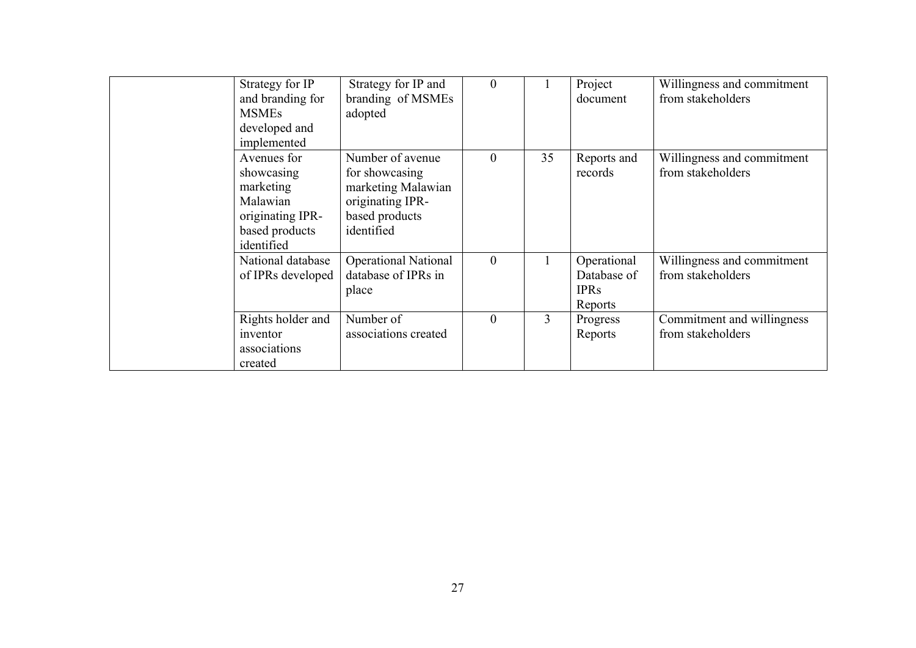| Strategy for IP<br>and branding for<br><b>MSMEs</b><br>developed and<br>implemented                    | Strategy for IP and<br>branding of MSMEs<br>adopted                                                          | $\theta$       |                | Project<br>document                                  | Willingness and commitment<br>from stakeholders |
|--------------------------------------------------------------------------------------------------------|--------------------------------------------------------------------------------------------------------------|----------------|----------------|------------------------------------------------------|-------------------------------------------------|
| Avenues for<br>showcasing<br>marketing<br>Malawian<br>originating IPR-<br>based products<br>identified | Number of avenue<br>for showcasing<br>marketing Malawian<br>originating IPR-<br>based products<br>identified | $\overline{0}$ | 35             | Reports and<br>records                               | Willingness and commitment<br>from stakeholders |
| National database<br>of IPRs developed                                                                 | <b>Operational National</b><br>database of IPRs in<br>place                                                  | $\overline{0}$ |                | Operational<br>Database of<br><b>IPRs</b><br>Reports | Willingness and commitment<br>from stakeholders |
| Rights holder and<br>inventor<br>associations<br>created                                               | Number of<br>associations created                                                                            | $\overline{0}$ | $\overline{3}$ | Progress<br>Reports                                  | Commitment and willingness<br>from stakeholders |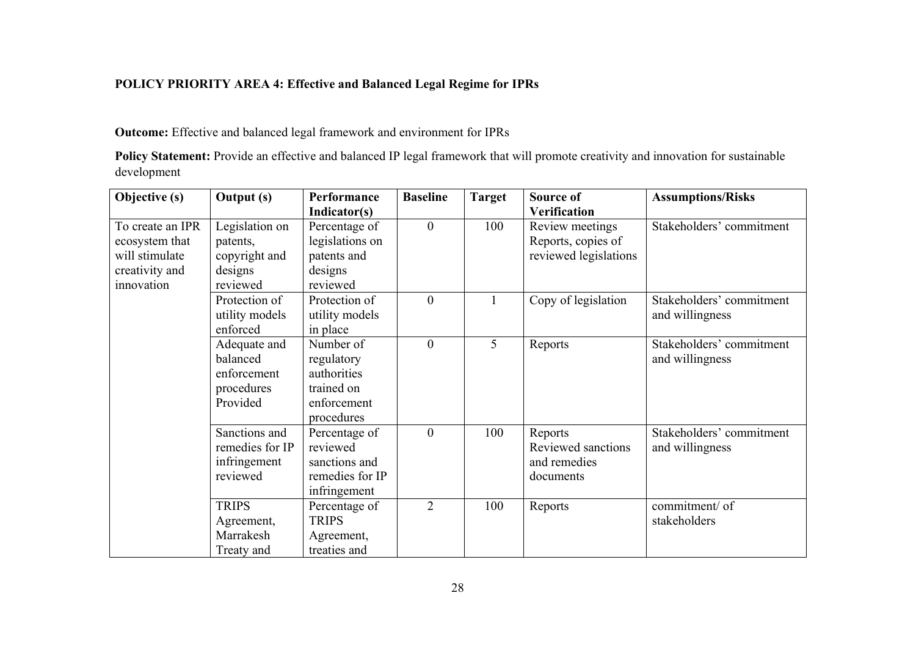## **POLICY PRIORITY AREA 4: Effective and Balanced Legal Regime for IPRs**

## **Outcome:** Effective and balanced legal framework and environment for IPRs

Policy Statement: Provide an effective and balanced IP legal framework that will promote creativity and innovation for sustainable development

| Objective (s)    | <b>Output</b> (s) | Performance     | <b>Baseline</b>  | Target | Source of             | <b>Assumptions/Risks</b> |
|------------------|-------------------|-----------------|------------------|--------|-----------------------|--------------------------|
|                  |                   | Indicator(s)    |                  |        | Verification          |                          |
| To create an IPR | Legislation on    | Percentage of   | $\boldsymbol{0}$ | 100    | Review meetings       | Stakeholders' commitment |
| ecosystem that   | patents,          | legislations on |                  |        | Reports, copies of    |                          |
| will stimulate   | copyright and     | patents and     |                  |        | reviewed legislations |                          |
| creativity and   | designs           | designs         |                  |        |                       |                          |
| innovation       | reviewed          | reviewed        |                  |        |                       |                          |
|                  | Protection of     | Protection of   | $\boldsymbol{0}$ |        | Copy of legislation   | Stakeholders' commitment |
|                  | utility models    | utility models  |                  |        |                       | and willingness          |
|                  | enforced          | in place        |                  |        |                       |                          |
|                  | Adequate and      | Number of       | $\boldsymbol{0}$ | 5      | Reports               | Stakeholders' commitment |
|                  | balanced          | regulatory      |                  |        |                       | and willingness          |
|                  | enforcement       | authorities     |                  |        |                       |                          |
|                  | procedures        | trained on      |                  |        |                       |                          |
|                  | Provided          | enforcement     |                  |        |                       |                          |
|                  |                   | procedures      |                  |        |                       |                          |
|                  | Sanctions and     | Percentage of   | $\mathbf{0}$     | 100    | Reports               | Stakeholders' commitment |
|                  | remedies for IP   | reviewed        |                  |        | Reviewed sanctions    | and willingness          |
|                  | infringement      | sanctions and   |                  |        | and remedies          |                          |
|                  | reviewed          | remedies for IP |                  |        | documents             |                          |
|                  |                   | infringement    |                  |        |                       |                          |
|                  | <b>TRIPS</b>      | Percentage of   | $\overline{2}$   | 100    | Reports               | commitment/ of           |
|                  | Agreement,        | <b>TRIPS</b>    |                  |        |                       | stakeholders             |
|                  | Marrakesh         | Agreement,      |                  |        |                       |                          |
|                  | Treaty and        | treaties and    |                  |        |                       |                          |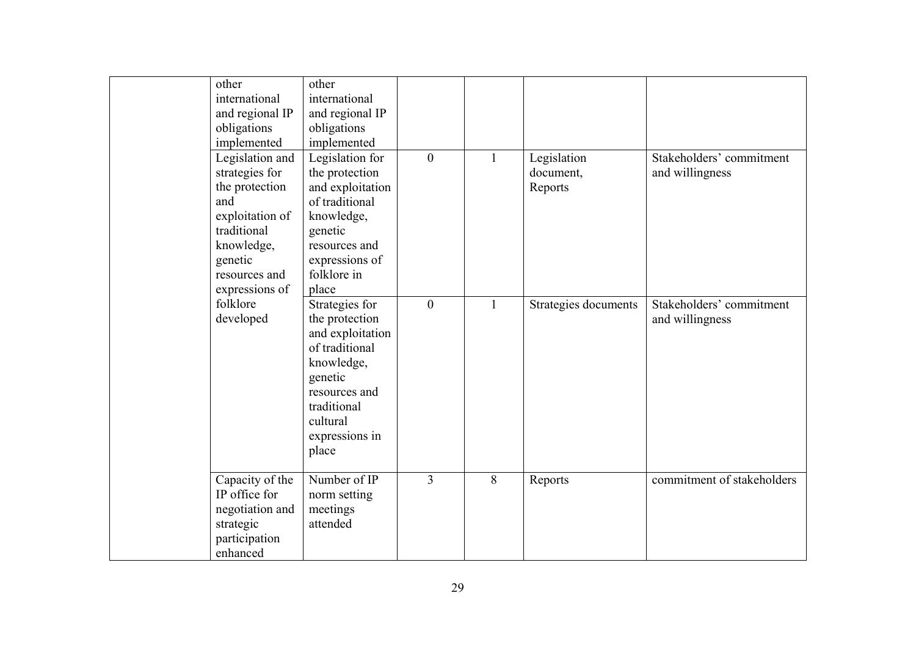| other<br>international<br>and regional IP<br>obligations                                                                               | other<br>international<br>and regional IP<br>obligations                                                                                                                        |                  |   |                                     |                                             |
|----------------------------------------------------------------------------------------------------------------------------------------|---------------------------------------------------------------------------------------------------------------------------------------------------------------------------------|------------------|---|-------------------------------------|---------------------------------------------|
| implemented                                                                                                                            | implemented                                                                                                                                                                     |                  |   |                                     |                                             |
| Legislation and<br>strategies for<br>the protection<br>and<br>exploitation of<br>traditional<br>knowledge,<br>genetic<br>resources and | Legislation for<br>the protection<br>and exploitation<br>of traditional<br>knowledge,<br>genetic<br>resources and<br>expressions of<br>folklore in                              | $\overline{0}$   | 1 | Legislation<br>document,<br>Reports | Stakeholders' commitment<br>and willingness |
| expressions of<br>folklore<br>developed                                                                                                | place<br>Strategies for<br>the protection<br>and exploitation<br>of traditional<br>knowledge,<br>genetic<br>resources and<br>traditional<br>cultural<br>expressions in<br>place | $\boldsymbol{0}$ | 1 | Strategies documents                | Stakeholders' commitment<br>and willingness |
| Capacity of the<br>IP office for<br>negotiation and<br>strategic<br>participation<br>enhanced                                          | Number of $\overline{IP}$<br>norm setting<br>meetings<br>attended                                                                                                               | $\overline{3}$   | 8 | Reports                             | commitment of stakeholders                  |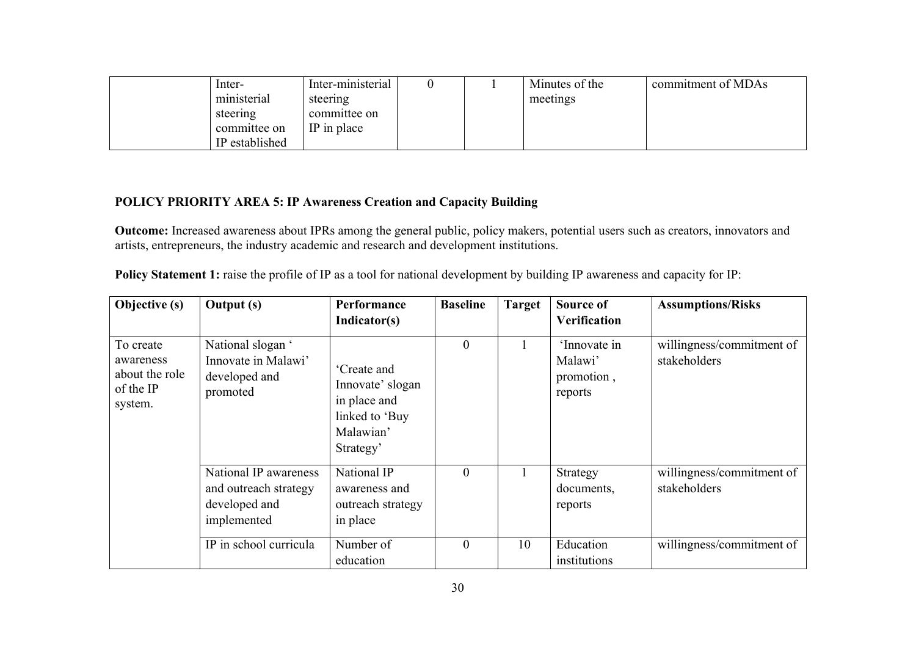| Inter-         | Inter-ministerial |  | Minutes of the | commitment of MDAs |
|----------------|-------------------|--|----------------|--------------------|
| ministerial    | steering          |  | meetings       |                    |
| steering       | committee on      |  |                |                    |
| committee on   | IP in place       |  |                |                    |
| IP established |                   |  |                |                    |

## **POLICY PRIORITY AREA 5: IP Awareness Creation and Capacity Building**

**Outcome:** Increased awareness about IPRs among the general public, policy makers, potential users such as creators, innovators and artists, entrepreneurs, the industry academic and research and development institutions.

| <b>Policy Statement 1:</b> raise the profile of IP as a tool for national development by building IP awareness and capacity for IP: |  |
|-------------------------------------------------------------------------------------------------------------------------------------|--|
|                                                                                                                                     |  |

| Objective (s)                                                    | <b>Output</b> (s)                                                              | Performance<br>Indicator(s)                                                                | <b>Baseline</b> | <b>Target</b> | Source of<br><b>Verification</b>                 | <b>Assumptions/Risks</b>                  |
|------------------------------------------------------------------|--------------------------------------------------------------------------------|--------------------------------------------------------------------------------------------|-----------------|---------------|--------------------------------------------------|-------------------------------------------|
| To create<br>awareness<br>about the role<br>of the IP<br>system. | National slogan '<br>Innovate in Malawi'<br>developed and<br>promoted          | Create and<br>Innovate' slogan<br>in place and<br>linked to 'Buy<br>Malawian'<br>Strategy' | $\overline{0}$  |               | 'Innovate in<br>Malawi'<br>promotion,<br>reports | willingness/commitment of<br>stakeholders |
|                                                                  | National IP awareness<br>and outreach strategy<br>developed and<br>implemented | National IP<br>awareness and<br>outreach strategy<br>in place                              | $\theta$        |               | Strategy<br>documents,<br>reports                | willingness/commitment of<br>stakeholders |
|                                                                  | IP in school curricula                                                         | Number of<br>education                                                                     | $\theta$        | 10            | Education<br>institutions                        | willingness/commitment of                 |